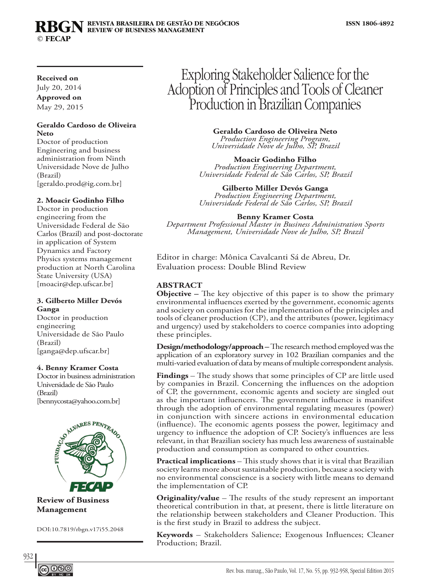# **Received on**

July 20, 2014 **Approved on** May 29, 2015

#### **Geraldo Cardoso de Oliveira Neto**

Doctor of production Engineering and business administration from Ninth Universidade Nove de Julho (Brazil) [geraldo.prod@ig.com.br]

# **2. Moacir Godinho Filho**

Doctor in production engineering from the Universidade Federal de São Carlos (Brazil) and post-doctorate in application of System Dynamics and Factory Physics systems management production at North Carolina State University (USA) [moacir@dep.ufscar.br]

#### **3. Gilberto Miller Devós Ganga**

Doctor in production engineering Universidade de São Paulo (Brazil) [ganga@dep.ufscar.br]

# **4. Benny Kramer Costa**

Doctor in business administration Universidade de São Paulo (Brazil)



**Review of Business Management**

DOI:10.7819/rbgn.v17i55.2048

# Exploring Stakeholder Salience for the Adoption of Principles and Tools of Cleaner Production in Brazilian Companies

**Geraldo Cardoso de Oliveira Neto** *Production Engineering Program, Universidade Nove de Julho, SP, Brazil*

**Moacir Godinho Filho**<br>*Production Engineering Department, Production Engineering Department, Universidade Federal de São Carlos, SP, Brazil*

**Gilberto Miller Devós Ganga**  *Production Engineering Department, Universidade Federal de São Carlos, SP, Brazil*

**Benny Kramer Costa** *Department Professional Master in Business Administration Sports Management, Universidade Nove de Julho, SP, Brazil*

Editor in charge: Mônica Cavalcanti Sá de Abreu, Dr. Evaluation process: Double Blind Review

# **Abstract**

**Objective –** The key objective of this paper is to show the primary environmental influences exerted by the government, economic agents and society on companies for the implementation of the principles and tools of cleaner production (CP), and the attributes (power, legitimacy and urgency) used by stakeholders to coerce companies into adopting these principles.

**Design/methodology/approach –** The research method employed was the application of an exploratory survey in 102 Brazilian companies and the multi-varied evaluation of data by means of multiple correspondent analysis.

**Findings** – The study shows that some principles of CP are little used by companies in Brazil. Concerning the influences on the adoption of CP, the government, economic agents and society are singled out as the important influencers. The government influence is manifest through the adoption of environmental regulating measures (power) in conjunction with sincere actions in environmental education (influence). The economic agents possess the power, legitimacy and urgency to influence the adoption of CP. Society's influences are less relevant, in that Brazilian society has much less awareness of sustainable production and consumption as compared to other countries.

**Practical implications** – This study shows that it is vital that Brazilian society learns more about sustainable production, because a society with no environmental conscience is a society with little means to demand the implementation of CP.

**Originality/value** – The results of the study represent an important theoretical contribution in that, at present, there is little literature on the relationship between stakeholders and Cleaner Production. This is the first study in Brazil to address the subject.

**Keywords** – Stakeholders Salience; Exogenous Influences; Cleaner Production; Brazil.

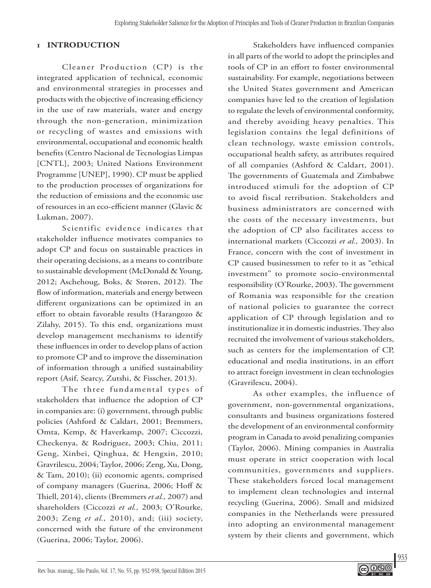# **1 Introduction**

Cleaner Production (CP) is the integrated application of technical, economic and environmental strategies in processes and products with the objective of increasing efficiency in the use of raw materials, water and energy through the non-generation, minimization or recycling of wastes and emissions with environmental, occupational and economic health benefits (Centro Nacional de Tecnologias Limpas [CNTL], 2003; United Nations Environment Programme [UNEP], 1990). CP must be applied to the production processes of organizations for the reduction of emissions and the economic use of resources in an eco-efficient manner (Glavic & Lukman, 2007).

Scientific evidence indicates that stakeholder influence motivates companies to adopt CP and focus on sustainable practices in their operating decisions, as a means to contribute to sustainable development (McDonald & Young, 2012; Aschehoug, Boks, & Støren, 2012). The flow of information, materials and energy between different organizations can be optimized in an effort to obtain favorable results (Harangozo & Zilahy, 2015). To this end, organizations must develop management mechanisms to identify these influences in order to develop plans of action to promote CP and to improve the dissemination of information through a unified sustainability report (Asif, Searcy, Zutshi, & Fisscher, 2013).

The three fundamental types of stakeholders that influence the adoption of CP in companies are: (i) government, through public policies (Ashford & Caldart, 2001; Bremmers, Omta, Kemp, & Haverkamp, 2007; Ciccozzi, Checkenya, & Rodriguez, 2003; Chiu, 2011; Geng, Xinbei, Qinghua, & Hengxin, 2010; Gravrilescu, 2004; Taylor, 2006; Zeng, Xu, Dong, & Tam, 2010); (ii) economic agents, comprised of company managers (Guerina, 2006; Hoff & Thiell, 2014), clients (Bremmers *et al.,* 2007) and shareholders (Ciccozzi *et al.,* 2003; O'Rourke, 2003; Zeng *et al.,* 2010), and; (iii) society, concerned with the future of the environment (Guerina, 2006; Taylor, 2006).

Stakeholders have influenced companies in all parts of the world to adopt the principles and tools of CP in an effort to foster environmental sustainability. For example, negotiations between the United States government and American companies have led to the creation of legislation to regulate the levels of environmental conformity, and thereby avoiding heavy penalties. This legislation contains the legal definitions of clean technology, waste emission controls, occupational health safety, as attributes required of all companies (Ashford & Caldart, 2001). The governments of Guatemala and Zimbabwe introduced stimuli for the adoption of CP to avoid fiscal retribution. Stakeholders and business administrators are concerned with the costs of the necessary investments, but the adoption of CP also facilitates access to international markets (Ciccozzi *et al.,* 2003). In France, concern with the cost of investment in CP caused businessmen to refer to it as "ethical investment" to promote socio-environmental responsibility (O'Rourke, 2003). The government of Romania was responsible for the creation of national policies to guarantee the correct application of CP through legislation and to institutionalize it in domestic industries. They also recruited the involvement of various stakeholders, such as centers for the implementation of CP, educational and media institutions, in an effort to attract foreign investment in clean technologies (Gravrilescu, 2004).

As other examples, the influence of government, non-governmental organizations, consultants and business organizations fostered the development of an environmental conformity program in Canada to avoid penalizing companies (Taylor, 2006). Mining companies in Australia must operate in strict cooperation with local communities, governments and suppliers. These stakeholders forced local management to implement clean technologies and internal recycling (Guerina, 2006). Small and midsized companies in the Netherlands were pressured into adopting an environmental management system by their clients and government, which

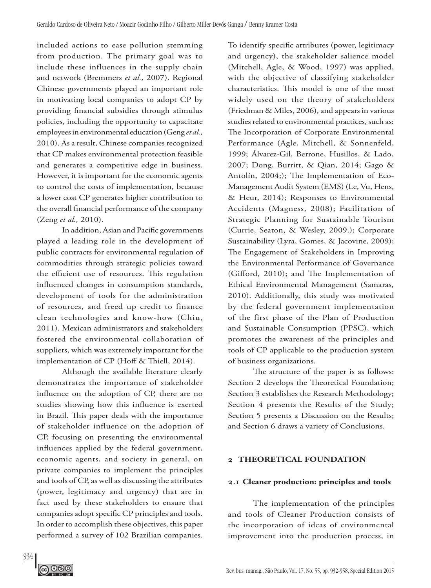included actions to ease pollution stemming from production. The primary goal was to include these influences in the supply chain and network (Bremmers *et al.,* 2007). Regional Chinese governments played an important role in motivating local companies to adopt CP by providing financial subsidies through stimulus policies, including the opportunity to capacitate employees in environmental education(Geng *et al.,* 2010). As a result, Chinese companies recognized that CP makes environmental protection feasible and generates a competitive edge in business. However, it is important for the economic agents to control the costs of implementation, because a lower cost CP generates higher contribution to the overall financial performance of the company (Zeng *et al.,* 2010).

In addition, Asian and Pacific governments played a leading role in the development of public contracts for environmental regulation of commodities through strategic policies toward the efficient use of resources. This regulation influenced changes in consumption standards, development of tools for the administration of resources, and freed up credit to finance clean technologies and know-how (Chiu, 2011). Mexican administrators and stakeholders fostered the environmental collaboration of suppliers, which was extremely important for the implementation of CP (Hoff & Thiell, 2014).

Although the available literature clearly demonstrates the importance of stakeholder influence on the adoption of CP, there are no studies showing how this influence is exerted in Brazil. This paper deals with the importance of stakeholder influence on the adoption of CP, focusing on presenting the environmental influences applied by the federal government, economic agents, and society in general, on private companies to implement the principles and tools of CP, as well as discussing the attributes (power, legitimacy and urgency) that are in fact used by these stakeholders to ensure that companies adopt specific CP principles and tools. In order to accomplish these objectives, this paper performed a survey of 102 Brazilian companies.

To identify specific attributes (power, legitimacy and urgency), the stakeholder salience model (Mitchell, Agle, & Wood, 1997) was applied, with the objective of classifying stakeholder characteristics. This model is one of the most widely used on the theory of stakeholders (Friedman & Miles, 2006), and appears in various studies related to environmental practices, such as: The Incorporation of Corporate Environmental Performance (Agle, Mitchell, & Sonnenfeld, 1999; Álvarez-Gil, Berrone, Husillos, & Lado, 2007; Dong, Burritt, & Qian, 2014; Gago & Antolín, 2004;); The Implementation of Eco-Management Audit System (EMS) (Le, Vu, Hens, & Heur, 2014); Responses to Environmental Accidents (Magness, 2008); Facilitation of Strategic Planning for Sustainable Tourism (Currie, Seaton, & Wesley, 2009.); Corporate Sustainability (Lyra, Gomes, & Jacovine, 2009); The Engagement of Stakeholders in Improving the Environmental Performance of Governance (Gifford, 2010); and The Implementation of Ethical Environmental Management (Samaras, 2010). Additionally, this study was motivated by the federal government implementation of the first phase of the Plan of Production and Sustainable Consumption (PPSC), which promotes the awareness of the principles and tools of CP applicable to the production system of business organizations.

The structure of the paper is as follows: Section 2 develops the Theoretical Foundation; Section 3 establishes the Research Methodology; Section 4 presents the Results of the Study; Section 5 presents a Discussion on the Results; and Section 6 draws a variety of Conclusions.

# **2 Theoretical Foundation**

# **2.1 Cleaner production: principles and tools**

The implementation of the principles and tools of Cleaner Production consists of the incorporation of ideas of environmental improvement into the production process, in

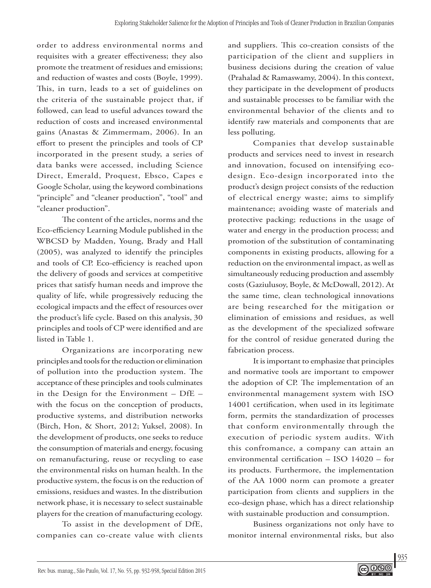order to address environmental norms and requisites with a greater effectiveness; they also promote the treatment of residues and emissions; and reduction of wastes and costs (Boyle, 1999). This, in turn, leads to a set of guidelines on the criteria of the sustainable project that, if followed, can lead to useful advances toward the reduction of costs and increased environmental gains (Anastas & Zimmermam, 2006). In an effort to present the principles and tools of CP incorporated in the present study, a series of data banks were accessed, including Science Direct, Emerald, Proquest, Ebsco, Capes e Google Scholar, using the keyword combinations "principle" and "cleaner production", "tool" and "cleaner production".

The content of the articles, norms and the Eco-efficiency Learning Module published in the WBCSD by Madden, Young, Brady and Hall (2005), was analyzed to identify the principles and tools of CP. Eco-efficiency is reached upon the delivery of goods and services at competitive prices that satisfy human needs and improve the quality of life, while progressively reducing the ecological impacts and the effect of resources over the product's life cycle. Based on this analysis, 30 principles and tools of CP were identified and are listed in Table 1.

Organizations are incorporating new principles and tools for the reduction or elimination of pollution into the production system. The acceptance of these principles and tools culminates in the Design for the Environment – DfE – with the focus on the conception of products, productive systems, and distribution networks (Birch, Hon, & Short, 2012; Yuksel, 2008). In the development of products, one seeks to reduce the consumption of materials and energy, focusing on remanufacturing, reuse or recycling to ease the environmental risks on human health. In the productive system, the focus is on the reduction of emissions, residues and wastes. In the distribution network phase, it is necessary to select sustainable players for the creation of manufacturing ecology.

To assist in the development of DfE, companies can co-create value with clients

and suppliers. This co-creation consists of the participation of the client and suppliers in business decisions during the creation of value (Prahalad & Ramaswamy, 2004). In this context, they participate in the development of products and sustainable processes to be familiar with the environmental behavior of the clients and to identify raw materials and components that are less polluting.

Companies that develop sustainable products and services need to invest in research and innovation, focused on intensifying ecodesign. Eco-design incorporated into the product's design project consists of the reduction of electrical energy waste; aims to simplify maintenance; avoiding waste of materials and protective packing; reductions in the usage of water and energy in the production process; and promotion of the substitution of contaminating components in existing products, allowing for a reduction on the environmental impact, as well as simultaneously reducing production and assembly costs (Gaziulusoy, Boyle, & McDowall, 2012). At the same time, clean technological innovations are being researched for the mitigation or elimination of emissions and residues, as well as the development of the specialized software for the control of residue generated during the fabrication process.

It is important to emphasize that principles and normative tools are important to empower the adoption of CP. The implementation of an environmental management system with ISO 14001 certification, when used in its legitimate form, permits the standardization of processes that conform environmentally through the execution of periodic system audits. With this confromance, a company can attain an environmental certification – ISO 14020 – for its products. Furthermore, the implementation of the AA 1000 norm can promote a greater participation from clients and suppliers in the eco-design phase, which has a direct relationship with sustainable production and consumption.

Business organizations not only have to monitor internal environmental risks, but also

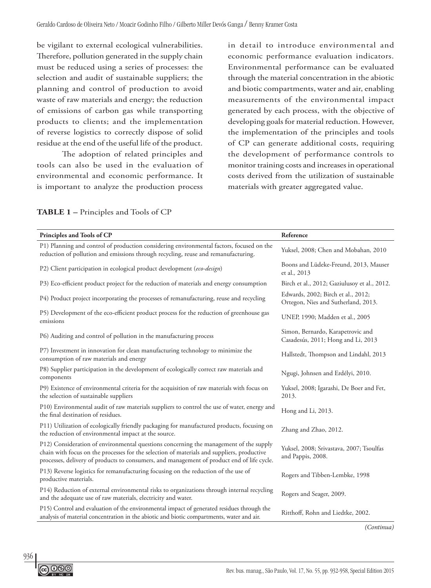be vigilant to external ecological vulnerabilities. Therefore, pollution generated in the supply chain must be reduced using a series of processes: the selection and audit of sustainable suppliers; the planning and control of production to avoid waste of raw materials and energy; the reduction of emissions of carbon gas while transporting products to clients; and the implementation of reverse logistics to correctly dispose of solid residue at the end of the useful life of the product.

The adoption of related principles and tools can also be used in the evaluation of environmental and economic performance. It is important to analyze the production process

in detail to introduce environmental and economic performance evaluation indicators. Environmental performance can be evaluated through the material concentration in the abiotic and biotic compartments, water and air, enabling measurements of the environmental impact generated by each process, with the objective of developing goals for material reduction. However, the implementation of the principles and tools of CP can generate additional costs, requiring the development of performance controls to monitor training costs and increases in operational costs derived from the utilization of sustainable materials with greater aggregated value.

| Principles and Tools of CP                                                                                                                                                                                                                                                        | Reference                                                                 |
|-----------------------------------------------------------------------------------------------------------------------------------------------------------------------------------------------------------------------------------------------------------------------------------|---------------------------------------------------------------------------|
| P1) Planning and control of production considering environmental factors, focused on the<br>reduction of pollution and emissions through recycling, reuse and remanufacturing.                                                                                                    | Yuksel, 2008; Chen and Mobahan, 2010                                      |
| P2) Client participation in ecological product development (eco-design)                                                                                                                                                                                                           | Boons and Lüdeke-Freund, 2013, Mauser<br>et al., 2013                     |
| P3) Eco-efficient product project for the reduction of materials and energy consumption                                                                                                                                                                                           | Birch et al., 2012; Gaziulusoy et al., 2012.                              |
| P4) Product project incorporating the processes of remanufacturing, reuse and recycling                                                                                                                                                                                           | Edwards, 2002; Birch et al., 2012;<br>Ortegon, Nies and Sutherland, 2013. |
| P5) Development of the eco-efficient product process for the reduction of greenhouse gas<br>emissions                                                                                                                                                                             | UNEP, 1990; Madden et al., 2005                                           |
| P6) Auditing and control of pollution in the manufacturing process                                                                                                                                                                                                                | Simon, Bernardo, Karapetrovic and<br>Casadesús, 2011; Hong and Li, 2013   |
| P7) Investment in innovation for clean manufacturing technology to minimize the<br>consumption of raw materials and energy                                                                                                                                                        | Hallstedt, Thompson and Lindahl, 2013                                     |
| P8) Supplier participation in the development of ecologically correct raw materials and<br>components                                                                                                                                                                             | Ngugi, Johnsen and Erdélyi, 2010.                                         |
| P9) Existence of environmental criteria for the acquisition of raw materials with focus on<br>the selection of sustainable suppliers                                                                                                                                              | Yuksel, 2008; Igarashi, De Boer and Fet,<br>2013.                         |
| P10) Environmental audit of raw materials suppliers to control the use of water, energy and<br>the final destination of residues.                                                                                                                                                 | Hong and Li, 2013.                                                        |
| P11) Utilization of ecologically friendly packaging for manufactured products, focusing on<br>the reduction of environmental impact at the source.                                                                                                                                | Zhang and Zhao, 2012.                                                     |
| P12) Consideration of environmental questions concerning the management of the supply<br>chain with focus on the processes for the selection of materials and suppliers, productive<br>processes, delivery of products to consumers, and management of product end of life cycle. | Yuksel, 2008; Srivastava, 2007; Tsoulfas<br>and Pappis, 2008.             |
| P13) Reverse logistics for remanufacturing focusing on the reduction of the use of<br>productive materials.                                                                                                                                                                       | Rogers and Tibben-Lembke, 1998                                            |
| P14) Reduction of external environmental risks to organizations through internal recycling<br>and the adequate use of raw materials, electricity and water.                                                                                                                       | Rogers and Seager, 2009.                                                  |
| P15) Control and evaluation of the environmental impact of generated residues through the<br>analysis of material concentration in the abiotic and biotic compartments, water and air.                                                                                            | Ritthoff, Rohn and Liedtke, 2002.                                         |
|                                                                                                                                                                                                                                                                                   | $(C_{\alpha}, \ldots)$                                                    |

#### **Table 1 –** Principles and Tools of CP

*(Continua)*

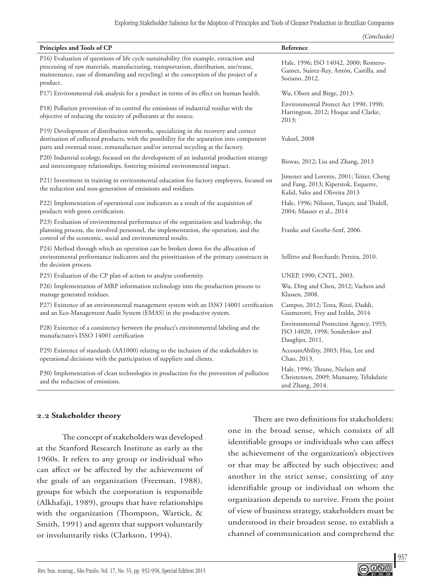|                                                                                                                                                                                                                                                                                     | (Conclusão)                                                                                                        |
|-------------------------------------------------------------------------------------------------------------------------------------------------------------------------------------------------------------------------------------------------------------------------------------|--------------------------------------------------------------------------------------------------------------------|
| Principles and Tools of CP                                                                                                                                                                                                                                                          | Reference                                                                                                          |
| P16) Evaluation of questions of life cycle sustainability (for example, extraction and<br>processing of raw materials, manufacturing, transportation, distribution, use/reuse,<br>maintenance, ease of dismantling and recycling) at the conception of the project of a<br>product. | Hale, 1996; ISO 14042, 2000; Romero-<br>Gamez, Suárez-Rey, Antón, Castilla, and<br>Soriano, 2012.                  |
| P17) Environmental risk analysis for a product in terms of its effect on human health.                                                                                                                                                                                              | Wu, Olson and Birge, 2013.                                                                                         |
| P18) Pollution prevention of to control the emissions of industrial residue with the<br>objective of reducing the toxicity of pollutants at the source.                                                                                                                             | Environmental Protect Act 1990, 1990;<br>Harrington, 2012; Hoque and Clarke,<br>2013;                              |
| P19) Development of distribution networks, specializing in the recovery and correct<br>destination of collected products, with the possibility for the separation into component<br>parts and eventual reuse, remanufacture and/or internal recycling at the factory.               | <b>Yuksel</b> , 2008                                                                                               |
| P20) Industrial ecology, focused on the development of an industrial production strategy<br>and intercompany relationships, fostering minimal environmental impact.                                                                                                                 | Biswas, 2012; Liu and Zhang, 2013                                                                                  |
| P21) Investment in training in environmental education for factory employees, focused on<br>the reduction and non-generation of emissions and residues.                                                                                                                             | Jimenez and Lorente, 2001; Teizer, Cheng<br>and Fang, 2013; Kiperstok, Esquerre,<br>Kalid, Sales and Oliveira 2013 |
| P22) Implementation of operational cost indicators as a result of the acquisition of<br>products with green certification.                                                                                                                                                          | Hale, 1996; Nilsson, Tunçer, and Thidell,<br>2004; Mauser et al., 2014                                             |
| P23) Evaluation of environmental performance of the organization and leadership, the<br>planning process, the involved personnel, the implementation, the operation, and the<br>control of the economic, social and environmental results.                                          | Franke and Grothe-Senf, 2006.                                                                                      |
| P24) Method through which an operation can be broken down for the allocation of<br>environmental performance indicators and the prioritization of the primary constructs in<br>the decision process.                                                                                | Sellitto and Borchardt; Pereira, 2010.                                                                             |
| P25) Evaluation of the CP plan of action to analyze conformity.                                                                                                                                                                                                                     | UNEP, 1990; CNTL, 2003.                                                                                            |
| P26) Implementation of MRP information technology into the production process to<br>manage generated residues.                                                                                                                                                                      | Wu, Ding and Chen, 2012; Vachon and<br>Klassen, 2008.                                                              |
| P27) Existence of an environmental management system with an ISSO 14001 certification<br>and an Eco-Management Audit System (EMAS) in the productive system.                                                                                                                        | Campos, 2012; Testa, Rizzi, Daddi,<br>Gusmerotti, Frey and Iraldo, 2014                                            |
| P28) Existence of a consistency between the product's environmental labeling and the<br>manufacturer's ISSO 14001 certification                                                                                                                                                     | Environmental Protection Agency, 1993;<br>ISO 14020, 1998; Sonderskov and<br>Daugbjer, 2011.                       |
| P29) Existence of standards (AA1000) relating to the inclusion of the stakeholders in<br>operational decisions with the participation of suppliers and clients.                                                                                                                     | AccountAbility, 2003; Hsu, Lee and<br>Chao, 2013.                                                                  |
| P30) Implementation of clean technologies in production for the prevention of pollution<br>and the reduction of emissions.                                                                                                                                                          | Hale, 1996; Thrane, Nielsen and<br>Christensen, 2009; Munsamy, Telukdarie<br>and Zhang, 2014.                      |

# **2.2 Stakeholder theory**

The concept of stakeholders was developed at the Stanford Research Institute as early as the 1960s. It refers to any group or individual who can affect or be affected by the achievement of the goals of an organization (Freeman, 1988), groups for which the corporation is responsible (Alkhafaji, 1989), groups that have relationships with the organization (Thompson, Wartick, & Smith, 1991) and agents that support voluntarily or involuntarily risks (Clarkson, 1994).

There are two definitions for stakeholders: one in the broad sense, which consists of all identifiable groups or individuals who can affect the achievement of the organization's objectives or that may be affected by such objectives; and another in the strict sense, consisting of any identifiable group or individual on whom the organization depends to survive. From the point of view of business strategy, stakeholders must be understood in their broadest sense, to establish a channel of communication and comprehend the

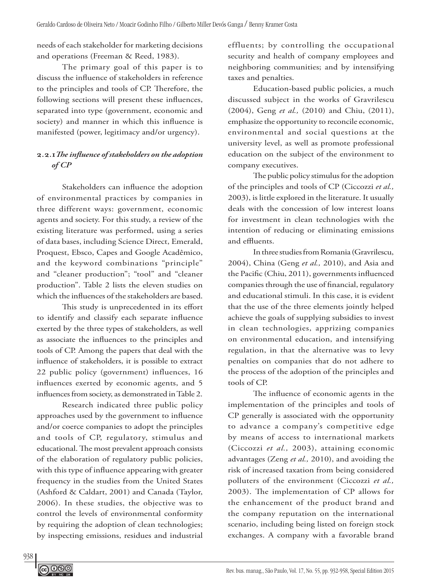needs of each stakeholder for marketing decisions and operations (Freeman & Reed, 1983).

The primary goal of this paper is to discuss the influence of stakeholders in reference to the principles and tools of CP. Therefore, the following sections will present these influences, separated into type (government, economic and society) and manner in which this influence is manifested (power, legitimacy and/or urgency).

# **2.2.1***The influence of stakeholders on the adoption of CP*

Stakeholders can influence the adoption of environmental practices by companies in three different ways: government, economic agents and society. For this study, a review of the existing literature was performed, using a series of data bases, including Science Direct, Emerald, Proquest, Ebsco, Capes and Google Acadêmico, and the keyword combinations "principle" and "cleaner production"; "tool" and "cleaner production". Table 2 lists the eleven studies on which the influences of the stakeholders are based.

This study is unprecedented in its effort to identify and classify each separate influence exerted by the three types of stakeholders, as well as associate the influences to the principles and tools of CP. Among the papers that deal with the influence of stakeholders, it is possible to extract 22 public policy (government) influences, 16 influences exerted by economic agents, and 5 influences from society, as demonstrated in Table 2.

Research indicated three public policy approaches used by the government to influence and/or coerce companies to adopt the principles and tools of CP, regulatory, stimulus and educational. The most prevalent approach consists of the elaboration of regulatory public policies, with this type of influence appearing with greater frequency in the studies from the United States (Ashford & Caldart, 2001) and Canada (Taylor, 2006). In these studies, the objective was to control the levels of environmental conformity by requiring the adoption of clean technologies; by inspecting emissions, residues and industrial

effluents; by controlling the occupational security and health of company employees and neighboring communities; and by intensifying taxes and penalties.

Education-based public policies, a much discussed subject in the works of Gravrilescu (2004), Geng *et al.,* (2010) and Chiu, (2011), emphasize the opportunity to reconcile economic, environmental and social questions at the university level, as well as promote professional education on the subject of the environment to company executives.

The public policy stimulus for the adoption of the principles and tools of CP (Ciccozzi *et al.,*  2003), is little explored in the literature. It usually deals with the concession of low interest loans for investment in clean technologies with the intention of reducing or eliminating emissions and effluents.

In three studies from Romania (Gravrilescu, 2004), China (Geng *et al.,* 2010), and Asia and the Pacific (Chiu, 2011), governments influenced companies through the use of financial, regulatory and educational stimuli. In this case, it is evident that the use of the three elements jointly helped achieve the goals of supplying subsidies to invest in clean technologies, apprizing companies on environmental education, and intensifying regulation, in that the alternative was to levy penalties on companies that do not adhere to the process of the adoption of the principles and tools of CP.

The influence of economic agents in the implementation of the principles and tools of CP generally is associated with the opportunity to advance a company's competitive edge by means of access to international markets (Ciccozzi *et al.,* 2003), attaining economic advantages (Zeng *et al.,* 2010), and avoiding the risk of increased taxation from being considered polluters of the environment (Ciccozzi *et al.,* 2003). The implementation of CP allows for the enhancement of the product brand and the company reputation on the international scenario, including being listed on foreign stock exchanges. A company with a favorable brand

938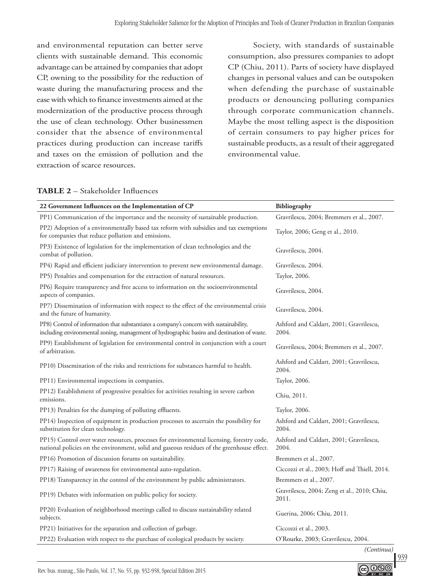and environmental reputation can better serve clients with sustainable demand. This economic advantage can be attained by companies that adopt CP, owning to the possibility for the reduction of waste during the manufacturing process and the ease with which to finance investments aimed at the modernization of the productive process through the use of clean technology. Other businessmen consider that the absence of environmental practices during production can increase tariffs and taxes on the emission of pollution and the extraction of scarce resources.

Society, with standards of sustainable consumption, also pressures companies to adopt CP (Chiu, 2011). Parts of society have displayed changes in personal values and can be outspoken when defending the purchase of sustainable products or denouncing polluting companies through corporate communication channels. Maybe the most telling aspect is the disposition of certain consumers to pay higher prices for sustainable products, as a result of their aggregated environmental value.

# **Table 2** – Stakeholder Influences

| 22 Government Influences on the Implementation of CP                                                                                                                                    | Bibliography                                         |
|-----------------------------------------------------------------------------------------------------------------------------------------------------------------------------------------|------------------------------------------------------|
| PP1) Communication of the importance and the necessity of sustainable production.                                                                                                       | Gravrilescu, 2004; Bremmers et al., 2007.            |
| PP2) Adoption of a environmentally based tax reform with subsidies and tax exemptions<br>for companies that reduce pollution and emissions.                                             | Taylor, 2006; Geng et al., 2010.                     |
| PP3) Existence of legislation for the implementation of clean technologies and the<br>combat of pollution.                                                                              | Gravrilescu, 2004.                                   |
| PP4) Rapid and efficient judiciary intervention to prevent new environmental damage.                                                                                                    | Gravrilescu, 2004.                                   |
| PP5) Penalties and compensation for the extraction of natural resources.                                                                                                                | Taylor, 2006.                                        |
| PP6) Require transparency and free access to information on the socioenvironmental<br>aspects of companies.                                                                             | Gravrilescu, 2004.                                   |
| PP7) Dissemination of information with respect to the effect of the environmental crisis<br>and the future of humanity.                                                                 | Gravrilescu, 2004.                                   |
| PP8) Control of information that substantiates a company's concern with sustainability,<br>including environmental zoning, management of hydrographic basins and destination of waste.  | Ashford and Caldart, 2001; Gravrilescu,<br>2004.     |
| PP9) Establishment of legislation for environmental control in conjunction with a court<br>of arbitration.                                                                              | Gravrilescu, 2004; Bremmers et al., 2007.            |
| PP10) Dissemination of the risks and restrictions for substances harmful to health.                                                                                                     | Ashford and Caldart, 2001; Gravrilescu,<br>2004.     |
| PP11) Environmental inspections in companies.                                                                                                                                           | Taylor, 2006.                                        |
| PP12) Establishment of progressive penalties for activities resulting in severe carbon<br>emissions.                                                                                    | Chiu, 2011.                                          |
| PP13) Penalties for the dumping of polluting effluents.                                                                                                                                 | Taylor, 2006.                                        |
| PP14) Inspection of equipment in production processes to ascertain the possibility for<br>substitution for clean technology.                                                            | Ashford and Caldart, 2001; Gravrilescu,<br>2004.     |
| PP15) Control over water resources, processes for environmental licensing, forestry code,<br>national policies on the environment, solid and gaseous residues of the greenhouse effect. | Ashford and Caldart, 2001; Gravrilescu,<br>2004.     |
| PP16) Promotion of discussion forums on sustainability.                                                                                                                                 | Bremmers et al., 2007.                               |
| PP17) Raising of awareness for environmental auto-regulation.                                                                                                                           | Ciccozzi et al., 2003; Hoff and Thiell, 2014.        |
| PP18) Transparency in the control of the environment by public administrators.                                                                                                          | Bremmers et al., 2007.                               |
| PP19) Debates with information on public policy for society.                                                                                                                            | Gravrilescu, 2004; Zeng et al., 2010; Chiu,<br>2011. |
| PP20) Evaluation of neighborhood meetings called to discuss sustainability related<br>subjects.                                                                                         | Guerina, 2006; Chiu, 2011.                           |
| PP21) Initiatives for the separation and collection of garbage.                                                                                                                         | Ciccozzi et al., 2003.                               |
| PP22) Evaluation with respect to the purchase of ecological products by society.                                                                                                        | O'Rourke, 2003; Gravrilescu, 2004.                   |

*(Continua)*

939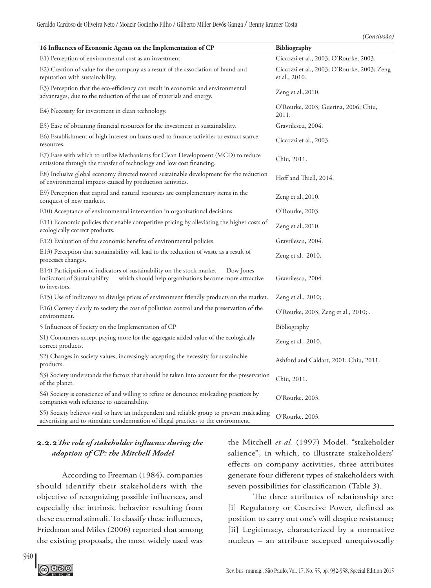| 16 Influences of Economic Agents on the Implementation of CP                                                                                                                                    | <b>Bibliography</b>                                          |  |  |
|-------------------------------------------------------------------------------------------------------------------------------------------------------------------------------------------------|--------------------------------------------------------------|--|--|
| E1) Perception of environmental cost as an investment.                                                                                                                                          | Ciccozzi et al., 2003; O'Rourke, 2003.                       |  |  |
| E2) Creation of value for the company as a result of the association of brand and<br>reputation with sustainability.                                                                            | Ciccozzi et al., 2003; O'Rourke, 2003; Zeng<br>et al., 2010. |  |  |
| E3) Perception that the eco-efficiency can result in economic and environmental<br>advantages, due to the reduction of the use of materials and energy.                                         | Zeng et al., 2010.                                           |  |  |
| E4) Necessity for investment in clean technology.                                                                                                                                               | O'Rourke, 2003; Guerina, 2006; Chiu,<br>2011.                |  |  |
| E5) Ease of obtaining financial resources for the investment in sustainability.                                                                                                                 | Gravrilescu, 2004.                                           |  |  |
| E6) Establishment of high interest on loans used to finance activities to extract scarce<br>resources.                                                                                          | Ciccozzi et al., 2003.                                       |  |  |
| E7) Ease with which to utilize Mechanisms for Clean Development (MCD) to reduce<br>emissions through the transfer of technology and low cost financing.                                         | Chiu, 2011.                                                  |  |  |
| E8) Inclusive global economy directed toward sustainable development for the reduction<br>of environmental impacts caused by production activities.                                             | Hoff and Thiell, 2014.                                       |  |  |
| E9) Perception that capital and natural resources are complementary items in the<br>conquest of new markets.                                                                                    | Zeng et al., $2010$ .                                        |  |  |
| E10) Acceptance of environmental intervention in organizational decisions.                                                                                                                      | O'Rourke, 2003.                                              |  |  |
| E11) Economic policies that enable competitive pricing by alleviating the higher costs of<br>ecologically correct products.                                                                     | Zeng et al., 2010.                                           |  |  |
| E12) Evaluation of the economic benefits of environmental policies.                                                                                                                             | Gravrilescu, 2004.                                           |  |  |
| E13) Perception that sustainability will lead to the reduction of waste as a result of<br>processes changes.                                                                                    | Zeng et al., 2010.                                           |  |  |
| $E14$ ) Participation of indicators of sustainability on the stock market — Dow Jones<br>Indicators of Sustainability - which should help organizations become more attractive<br>to investors. | Gravrilescu, 2004.                                           |  |  |
| E15) Use of indicators to divulge prices of environment friendly products on the market.                                                                                                        | Zeng et al., 2010; .                                         |  |  |
| E16) Convey clearly to society the cost of pollution control and the preservation of the<br>environment.                                                                                        | O'Rourke, 2003; Zeng et al., 2010; .                         |  |  |
| 5 Influences of Society on the Implementation of CP                                                                                                                                             | Bibliography                                                 |  |  |
| S1) Consumers accept paying more for the aggregate added value of the ecologically<br>correct products.                                                                                         | Zeng et al., 2010.                                           |  |  |
| S2) Changes in society values, increasingly accepting the necessity for sustainable<br>products.                                                                                                | Ashford and Caldart, 2001; Chiu, 2011.                       |  |  |
| S3) Society understands the factors that should be taken into account for the preservation<br>of the planet.                                                                                    | Chiu, 2011.                                                  |  |  |
| S4) Society is conscience of and willing to refute or denounce misleading practices by<br>companies with reference to sustainability.                                                           | O'Rourke, 2003.                                              |  |  |
| S5) Society believes vital to have an independent and reliable group to prevent misleading<br>advertising and to stimulate condemnation of illegal practices to the environment.                | O'Rourke, 2003.                                              |  |  |

# **2.2.2***The role of stakeholder influence during the adoption of CP: the Mitchell Model*

According to Freeman (1984), companies should identify their stakeholders with the objective of recognizing possible influences, and especially the intrinsic behavior resulting from these external stimuli. To classify these influences, Friedman and Miles (2006) reported that among the existing proposals, the most widely used was

the Mitchell *et al.* (1997) Model, "stakeholder salience", in which, to illustrate stakeholders' effects on company activities, three attributes generate four different types of stakeholders with seven possibilities for classification (Table 3).

The three attributes of relationship are: [i] Regulatory or Coercive Power, defined as position to carry out one's will despite resistance; [ii] Legitimacy, characterized by a normative nucleus – an attribute accepted unequivocally

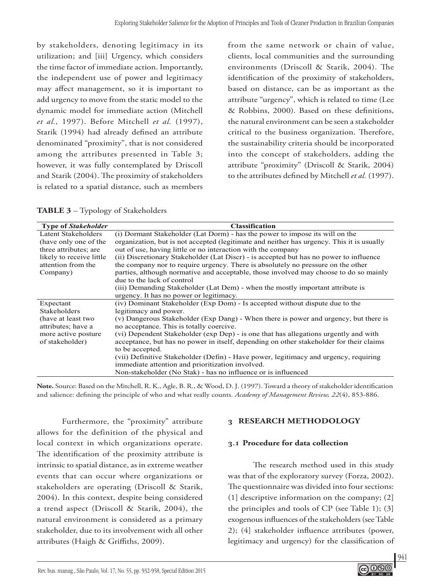by stakeholders, denoting legitimacy in its utilization; and [iii] Urgency, which considers the time factor of immediate action. Importantly, the independent use of power and legitimacy may affect management, so it is important to add urgency to move from the static model to the dynamic model for immediate action (Mitchell *et al.,* 1997). Before Mitchell *et al.* (1997), Starik (1994) had already defined an attribute denominated "proximity", that is not considered among the attributes presented in Table 3; however, it was fully contemplated by Driscoll and Starik (2004). The proximity of stakeholders is related to a spatial distance, such as members

from the same network or chain of value, clients, local communities and the surrounding environments (Driscoll & Starik, 2004). The identification of the proximity of stakeholders, based on distance, can be as important as the attribute "urgency", which is related to time (Lee & Robbins, 2000). Based on these definitions, the natural environment can be seen a stakeholder critical to the business organization. Therefore, the sustainability criteria should be incorporated into the concept of stakeholders, adding the attribute "proximity" (Driscoll & Starik, 2004) to the attributes defined by Mitchell *et al.* (1997).

| <b>Type of Stakeholder</b> | <b>Classification</b>                                                                     |
|----------------------------|-------------------------------------------------------------------------------------------|
| Latent Stakeholders        | (i) Dormant Stakeholder (Lat Dorm) - has the power to impose its will on the              |
| (have only one of the      | organization, but is not accepted (legitimate and neither has urgency. This it is usually |
| three attributes; are      | out of use, having little or no interaction with the company                              |
| likely to receive little   | (ii) Discretionary Stakeholder (Lat Discr) - is accepted but has no power to influence    |
| attention from the         | the company nor to require urgency. There is absolutely no pressure on the other          |
| Company)                   | parties, although normative and acceptable, those involved may choose to do so mainly     |
|                            | due to the lack of control                                                                |
|                            | (iii) Demanding Stakeholder (Lat Dem) - when the mostly important attribute is            |
|                            | urgency. It has no power or legitimacy.                                                   |
| Expectant                  | (iv) Dominant Stakeholder (Exp Dom) - Is accepted without dispute due to the              |
| <b>Stakeholders</b>        | legitimacy and power.                                                                     |
| (have at least two         | (v) Dangerous Stakeholder (Exp Dang) - When there is power and urgency, but there is      |
| attributes; have a         | no acceptance. This is totally coercive.                                                  |
| more active posture        | (vi) Dependent Stakeholder (exp Dep) - is one that has allegations urgently and with      |
| of stakeholder)            | acceptance, but has no power in itself, depending on other stakeholder for their claims   |
|                            | to be accepted.                                                                           |
|                            | (vii) Definitive Stakeholder (Defin) - Have power, legitimacy and urgency, requiring      |
|                            | immediate attention and prioritization involved.                                          |
|                            | Non-stakeholder (No Stak) - has no influence or is influenced                             |

**Table Tab3 le 3 - Typology of Stakeholders** – Typology of Stakeholders

and salience: defining the principle of who and what really counts. *Academy of Management Review, 22*(4), 853-886. **Note.** Source: Based on the Mitchell, R. K., Agle, B. R., & Wood, D. J. (1997). Toward a theory of stakeholder identification

Furthermore, the "proximity" attribute allows for the definition of the physical and local context in which organizations operate. The identification of the proximity attribute is intrinsic to spatial distance, as in extreme weather events that can occur where organizations or stakeholders are operating (Driscoll & Starik, 2004). In this context, despite being considered a trend aspect (Driscoll & Starik, 2004), the natural environment is considered as a primary stakeholder, due to its involvement with all other attributes (Haigh & Griffiths, 2009).

# **3 Research Methodology**

# **3.1 Procedure for data collection**

The research method used in this study was that of the exploratory survey (Forza, 2002). The questionnaire was divided into four sections: (1] descriptive information on the company; (2] the principles and tools of CP (see Table 1); (3] exogenous influences of the stakeholders (see Table 2); (4] stakeholder influence attributes (power, legitimacy and urgency) for the classification of

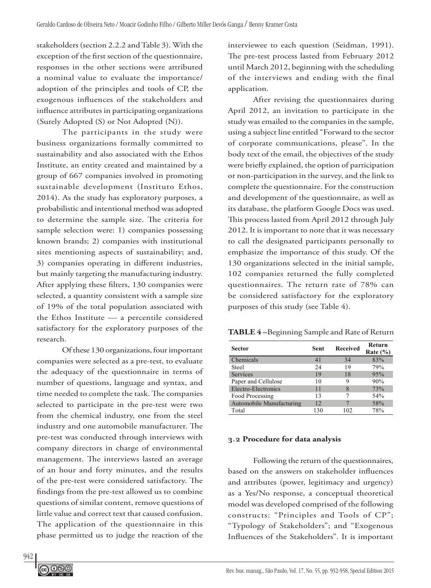stakeholders (section 2.2.2 and Table 3). With the exception of the first section of the questionnaire, responses in the other sections were attributed a nominal value to evaluate the importance/ adoption of the principles and tools of CP, the exogenous influences of the stakeholders and influence attributes in participating organizations (Surely Adopted (S) or Not Adopted (N)).

The participants in the study were business organizations formally committed to sustainability and also associated with the Ethos Institute, an entity created and maintained by a group of 667 companies involved in promoting sustainable development (Instituto Ethos, 2014). As the study has exploratory purposes, a probabilistic and intentional method was adopted to determine the sample size. The criteria for sample selection were: 1) companies possessing known brands; 2) companies with institutional sites mentioning aspects of sustainability; and, 3) companies operating in different industries, but mainly targeting the manufacturing industry. After applying these filters, 130 companies were selected, a quantity consistent with a sample size of 19% of the total population associated with the Ethos Institute — a percentile considered satisfactory for the exploratory purposes of the research.

Of these 130 organizations, four important companies were selected as a pre-test, to evaluate the adequacy of the questionnaire in terms of number of questions, language and syntax, and time needed to complete the task. The companies selected to participate in the pre-test were two from the chemical industry, one from the steel industry and one automobile manufacturer. The pre-test was conducted through interviews with company directors in charge of environmental management. The interviews lasted an average of an hour and forty minutes, and the results of the pre-test were considered satisfactory. The findings from the pre-test allowed us to combine questions of similar content, remove questions of little value and correct text that caused confusion. The application of the questionnaire in this phase permitted us to judge the reaction of the

interviewee to each question (Seidman, 1991). The pre-test process lasted from February 2012 until March 2012, beginning with the scheduling of the interviews and ending with the final application.

After revising the questionnaires during April 2012, an invitation to participate in the study was emailed to the companies in the sample, using a subject line entitled "Forward to the sector of corporate communications, please". In the body text of the email, the objectives of the study were briefly explained, the option of participation or non-participation in the survey, and the link to complete the questionnaire. For the construction and development of the questionnaire, as well as its database, the platform Google Docs was used. This process lasted from April 2012 through July 2012. It is important to note that it was necessary to call the designated participants personally to emphasize the importance of this study. Of the 130 organizations selected in the initial sample, 102 companies returned the fully completed questionnaires. The return rate of 78% can be considered satisfactory for the exploratory purposes of this study (see Table 4).

| TABLE 4-Beginning Sample and Rate of Return |  |  |
|---------------------------------------------|--|--|
|---------------------------------------------|--|--|

| <b>Sector</b>            | Sent | <b>Received</b> | Return<br>Rate $(\% )$ |
|--------------------------|------|-----------------|------------------------|
| Chemicals                | 41   | 34              | 83%                    |
| Steel                    | 24   | 19              | 79%                    |
| Services                 | 19   | 18              | 95%                    |
| Paper and Cellulose      | 10   | 9               | 90%                    |
| Electro-Electronics      | 11   | 8               | 73%                    |
| Food Processing          | 13   |                 | 54%                    |
| Automobile Manufacturing | 12   |                 | 58%                    |
| Total                    | 130  | 102             | 78%                    |

# **3.2 Procedure for data analysis**

Following the return of the questionnaires, based on the answers on stakeholder influences and attributes (power, legitimacy and urgency) as a Yes/No response, a conceptual theoretical model was developed comprised of the following constructs: "Principles and Tools of CP"; "Typology of Stakeholders"; and "Exogenous Influences of the Stakeholders". It is important

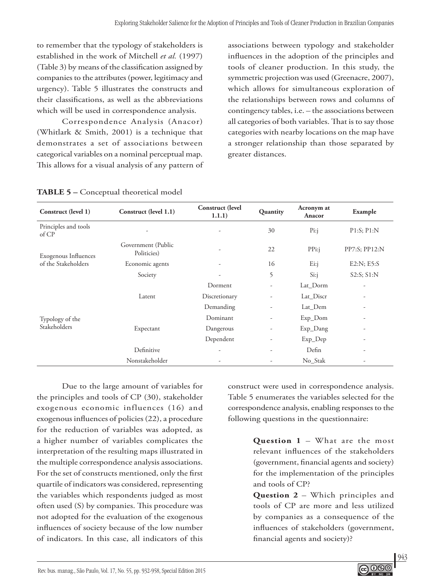to remember that the typology of stakeholders is established in the work of Mitchell *et al.* (1997) (Table 3) by means of the classification assigned by companies to the attributes (power, legitimacy and urgency). Table 5 illustrates the constructs and their classifications, as well as the abbreviations which will be used in correspondence analysis.

Correspondence Analysis (Anacor) (Whitlark & Smith, 2001) is a technique that demonstrates a set of associations between categorical variables on a nominal perceptual map. This allows for a visual analysis of any pattern of associations between typology and stakeholder influences in the adoption of the principles and tools of cleaner production. In this study, the symmetric projection was used (Greenacre, 2007), which allows for simultaneous exploration of the relationships between rows and columns of contingency tables, i.e. – the associations between all categories of both variables. That is to say those categories with nearby locations on the map have a stronger relationship than those separated by greater distances.

| Construct (level 1)           | Construct (level 1.1)             | Construct (level<br>1.1.1) | Quantity                 | Acronym at<br>Anacor | Example                  |
|-------------------------------|-----------------------------------|----------------------------|--------------------------|----------------------|--------------------------|
| Principles and tools<br>of CP |                                   |                            | 30                       | P <sub>i</sub> :j    | P1: S; P1: N             |
| Exogenous Influences          | Government (Public<br>Politicies) |                            | 22                       | PPi:i                | PP7:S; PP12:N            |
| of the Stakeholders           | Economic agents                   |                            | 16                       | $E_{i:j}$            | E2:N; E5:S               |
|                               | Society                           |                            | 5                        | $Si:$ j              | S2:S; S1:N               |
|                               |                                   | Dorment                    | -                        | Lat_Dorm             | -                        |
|                               | Latent                            | Discretionary              | -                        | Lat_Discr            | ٠                        |
|                               |                                   | Demanding                  | $\overline{\phantom{a}}$ | Lat_Dem              | ٠                        |
| Typology of the               |                                   | Dominant                   | $\overline{\phantom{a}}$ | Exp_Dom              | ٠                        |
| Stakeholders                  | Expectant                         | Dangerous                  | ٠                        | Exp_Dang             | ٠                        |
|                               |                                   | Dependent                  | $\overline{\phantom{a}}$ | Exp_Dep              | -                        |
|                               | Definitive                        |                            | -                        | Defin                | ٠                        |
|                               | Nonstakeholder                    |                            |                          | No_Stak              | $\overline{\phantom{a}}$ |

| TABLE 5 - Conceptual theoretical model |  |  |
|----------------------------------------|--|--|
|----------------------------------------|--|--|

Due to the large amount of variables for the principles and tools of CP (30), stakeholder exogenous economic influences (16) and exogenous influences of policies (22), a procedure for the reduction of variables was adopted, as a higher number of variables complicates the interpretation of the resulting maps illustrated in the multiple correspondence analysis associations. For the set of constructs mentioned, only the first quartile of indicators was considered, representing the variables which respondents judged as most often used (S) by companies. This procedure was not adopted for the evaluation of the exogenous influences of society because of the low number of indicators. In this case, all indicators of this

construct were used in correspondence analysis. Table 5 enumerates the variables selected for the correspondence analysis, enabling responses to the following questions in the questionnaire:

> **Question 1** – What are the most relevant influences of the stakeholders (government, financial agents and society) for the implementation of the principles and tools of CP?

> **Question 2** – Which principles and tools of CP are more and less utilized by companies as a consequence of the influences of stakeholders (government, financial agents and society)?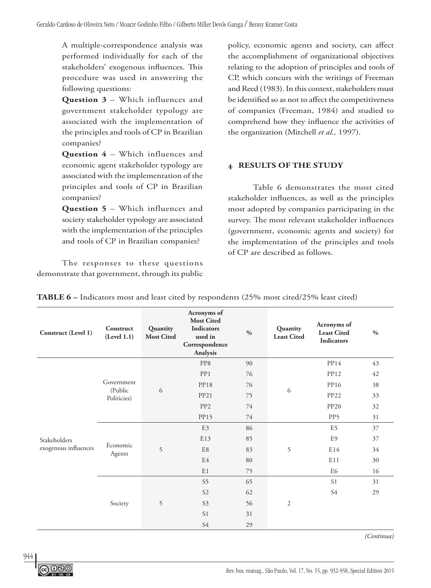A multiple-correspondence analysis was performed individually for each of the stakeholders' exogenous influences. This procedure was used in answering the following questions:

**Question 3** – Which influences and government stakeholder typology are associated with the implementation of the principles and tools of CP in Brazilian companies?

**Question 4** – Which influences and economic agent stakeholder typology are associated with the implementation of the principles and tools of CP in Brazilian companies?

**Question 5** – Which influences and society stakeholder typology are associated with the implementation of the principles and tools of CP in Brazilian companies?

The responses to these questions demonstrate that government, through its public policy, economic agents and society, can affect the accomplishment of organizational objectives relating to the adoption of principles and tools of CP, which concurs with the writings of Freeman and Reed (1983). In this context, stakeholders must be identified so as not to affect the competitiveness of companies (Freeman, 1984) and studied to comprehend how they influence the activities of the organization (Mitchell *et al.,* 1997).

# **4 Results of the Study**

Table 6 demonstrates the most cited stakeholder influences, as well as the principles most adopted by companies participating in the survey. The most relevant stakeholder influences (government, economic agents and society) for the implementation of the principles and tools of CP are described as follows.

| Construct (Level 1)  | Construct<br>(Level 1.1) | Quantity<br><b>Most Cited</b> | Acronyms of<br><b>Most Cited</b><br><b>Indicators</b><br>used in<br>Correspondence<br>Analysis | $\frac{0}{0}$ | Quantity<br><b>Least Cited</b> | Acronyms of<br><b>Least Cited</b><br>Indicators | $\frac{0}{0}$ |
|----------------------|--------------------------|-------------------------------|------------------------------------------------------------------------------------------------|---------------|--------------------------------|-------------------------------------------------|---------------|
|                      |                          |                               | PP8                                                                                            | 90            |                                | PP14                                            | 43            |
|                      |                          |                               | PP1                                                                                            | 76            |                                | <b>PP12</b>                                     | 42            |
|                      | Government<br>(Public    | 6                             | PP18                                                                                           | 76            | 6                              | <b>PP16</b>                                     | 38            |
|                      | Politicies)              |                               | PP21                                                                                           | 75            |                                | PP22                                            | 33            |
|                      |                          |                               | PP <sub>2</sub>                                                                                | 74            |                                | <b>PP20</b>                                     | 32            |
|                      |                          |                               | PP15                                                                                           | 74            |                                | PP5                                             | 31            |
|                      |                          | 5                             | E3                                                                                             | 86            | 5                              | E5                                              | 37            |
| Stakeholders         | Economic<br>Agents       |                               | E13                                                                                            | 85            |                                | E <sub>9</sub>                                  | 37            |
| exogenous influences |                          |                               | E8                                                                                             | 83            |                                | E14                                             | 34            |
|                      |                          |                               | E4                                                                                             | 80            |                                | E11                                             | 30            |
|                      |                          |                               | E1                                                                                             | 75            |                                | E <sub>6</sub>                                  | 16            |
|                      |                          |                               | S <sub>5</sub>                                                                                 | 65            |                                | S1                                              | 31            |
|                      |                          |                               | S <sub>2</sub>                                                                                 | 62            |                                | S4                                              | 29            |
|                      | Society                  | 5                             | S3                                                                                             | 56            | $\overline{2}$                 |                                                 |               |
|                      |                          |                               | S <sub>1</sub>                                                                                 | 31            |                                |                                                 |               |
|                      |                          |                               | $\sqrt{54}$                                                                                    | 29            |                                |                                                 |               |

**Table 6 –** Indicators most and least cited by respondents (25% most cited/25% least cited)

*(Continua)*

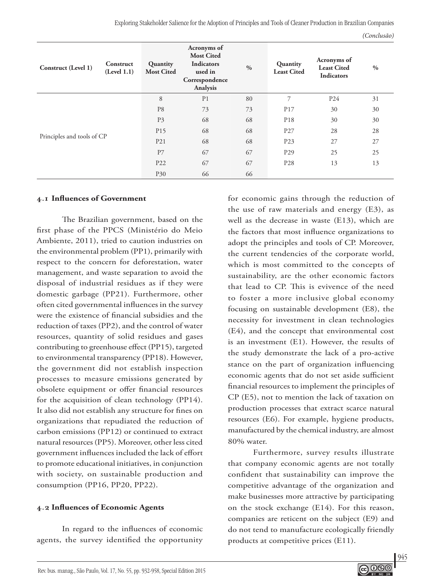Exploring Stakeholder Salience for the Adoption of Principles and Tools of Cleaner Production in Brazilian Companies

*(Conclusão)*

| Construct (Level 1)        | Construct<br>(Level 1.1) | Quantity<br><b>Most Cited</b> | Acronyms of<br><b>Most Cited</b><br><b>Indicators</b><br>used in<br>Correspondence<br>Analysis | $\frac{0}{0}$ | Quantity<br><b>Least Cited</b> | Acronyms of<br><b>Least Cited</b><br>Indicators | $\frac{0}{0}$ |
|----------------------------|--------------------------|-------------------------------|------------------------------------------------------------------------------------------------|---------------|--------------------------------|-------------------------------------------------|---------------|
| Principles and tools of CP |                          | 8                             | P <sub>1</sub>                                                                                 | 80            | 7                              | P <sub>24</sub>                                 | 31            |
|                            |                          | P <sub>8</sub>                | 73                                                                                             | 73            | P17                            | 30                                              | 30            |
|                            |                          | P <sub>3</sub>                | 68                                                                                             | 68            | P <sub>18</sub>                | 30                                              | 30            |
|                            |                          | P <sub>15</sub>               | 68                                                                                             | 68            | P27                            | 28                                              | 28            |
|                            |                          | P21                           | 68                                                                                             | 68            | P <sub>2</sub> 3               | 27                                              | 27            |
|                            |                          | P7                            | 67                                                                                             | 67            | P <sub>29</sub>                | 25                                              | 25            |
|                            |                          | P <sub>22</sub>               | 67                                                                                             | 67            | P <sub>28</sub>                | 13                                              | 13            |
|                            |                          | P <sub>30</sub>               | 66                                                                                             | 66            |                                |                                                 |               |

#### **4.1 Influences of Government**

The Brazilian government, based on the first phase of the PPCS (Ministério do Meio Ambiente, 2011), tried to caution industries on the environmental problem (PP1), primarily with respect to the concern for deforestation, water management, and waste separation to avoid the disposal of industrial residues as if they were domestic garbage (PP21). Furthermore, other often cited governmental influences in the survey were the existence of financial subsidies and the reduction of taxes (PP2), and the control of water resources, quantity of solid residues and gases contributing to greenhouse effect (PP15), targeted to environmental transparency (PP18). However, the government did not establish inspection processes to measure emissions generated by obsolete equipment or offer financial resources for the acquisition of clean technology (PP14). It also did not establish any structure for fines on organizations that repudiated the reduction of carbon emissions (PP12) or continued to extract natural resources (PP5). Moreover, other less cited government influences included the lack of effort to promote educational initiatives, in conjunction with society, on sustainable production and consumption (PP16, PP20, PP22).

# **4.2 Influences of Economic Agents**

In regard to the influences of economic agents, the survey identified the opportunity for economic gains through the reduction of the use of raw materials and energy (E3), as well as the decrease in waste (E13), which are the factors that most influence organizations to adopt the principles and tools of CP. Moreover, the current tendencies of the corporate world, which is most committed to the concepts of sustainability, are the other economic factors that lead to CP. This is evivence of the need to foster a more inclusive global economy focusing on sustainable development (E8), the necessity for investment in clean technologies (E4), and the concept that environmental cost is an investment (E1). However, the results of the study demonstrate the lack of a pro-active stance on the part of organization influencing economic agents that do not set aside sufficient financial resources to implement the principles of CP (E5), not to mention the lack of taxation on production processes that extract scarce natural resources (E6). For example, hygiene products, manufactured by the chemical industry, are almost 80% water.

Furthermore, survey results illustrate that company economic agents are not totally confident that sustainability can improve the competitive advantage of the organization and make businesses more attractive by participating on the stock exchange (E14). For this reason, companies are reticent on the subject (E9) and do not tend to manufacture ecologically friendly products at competitive prices (E11).

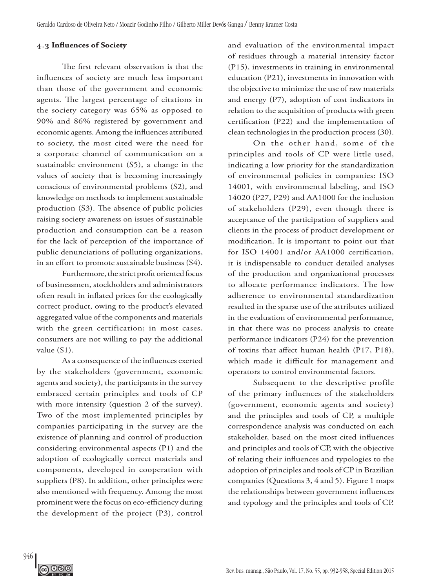# **4.3 Influences of Society**

The first relevant observation is that the influences of society are much less important than those of the government and economic agents. The largest percentage of citations in the society category was 65% as opposed to 90% and 86% registered by government and economic agents. Among the influences attributed to society, the most cited were the need for a corporate channel of communication on a sustainable environment (S5), a change in the values of society that is becoming increasingly conscious of environmental problems (S2), and knowledge on methods to implement sustainable production (S3). The absence of public policies raising society awareness on issues of sustainable production and consumption can be a reason for the lack of perception of the importance of public denunciations of polluting organizations, in an effort to promote sustainable business (S4).

Furthermore, the strict profit oriented focus of businessmen, stockholders and administrators often result in inflated prices for the ecologically correct product, owing to the product's elevated aggregated value of the components and materials with the green certification; in most cases, consumers are not willing to pay the additional value (S1).

As a consequence of the influences exerted by the stakeholders (government, economic agents and society), the participants in the survey embraced certain principles and tools of CP with more intensity (question 2 of the survey). Two of the most implemented principles by companies participating in the survey are the existence of planning and control of production considering environmental aspects (P1) and the adoption of ecologically correct materials and components, developed in cooperation with suppliers (P8). In addition, other principles were also mentioned with frequency. Among the most prominent were the focus on eco-efficiency during the development of the project (P3), control

and evaluation of the environmental impact of residues through a material intensity factor (P15), investments in training in environmental education (P21), investments in innovation with the objective to minimize the use of raw materials and energy (P7), adoption of cost indicators in relation to the acquisition of products with green certification (P22) and the implementation of clean technologies in the production process (30).

On the other hand, some of the principles and tools of CP were little used, indicating a low priority for the standardization of environmental policies in companies: ISO 14001, with environmental labeling, and ISO 14020 (P27, P29) and AA1000 for the inclusion of stakeholders (P29), even though there is acceptance of the participation of suppliers and clients in the process of product development or modification. It is important to point out that for ISO 14001 and/or AA1000 certification, it is indispensable to conduct detailed analyses of the production and organizational processes to allocate performance indicators. The low adherence to environmental standardization resulted in the sparse use of the attributes utilized in the evaluation of environmental performance, in that there was no process analysis to create performance indicators (P24) for the prevention of toxins that affect human health (P17, P18), which made it difficult for management and operators to control environmental factors.

Subsequent to the descriptive profile of the primary influences of the stakeholders (government, economic agents and society) and the principles and tools of CP, a multiple correspondence analysis was conducted on each stakeholder, based on the most cited influences and principles and tools of CP, with the objective of relating their influences and typologies to the adoption of principles and tools of CP in Brazilian companies (Questions 3, 4 and 5). Figure 1 maps the relationships between government influences and typology and the principles and tools of CP.

946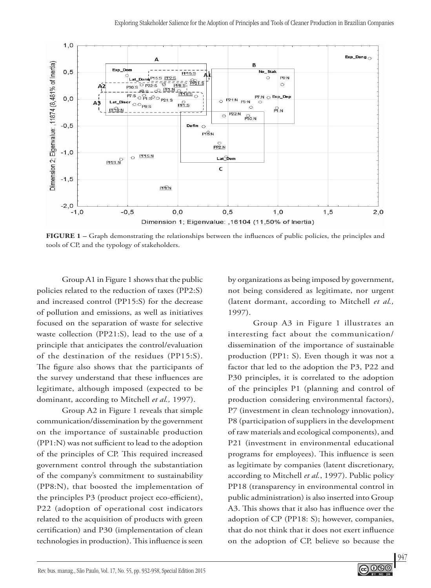

**FIGURE 1** – Graph demonstrating the relationships between the influences of public policies, the principles and tools of CP, and the typology of stakeholders.

Group A1 in Figure 1 shows that the public policies related to the reduction of taxes (PP2:S) and increased control (PP15:S) for the decrease of pollution and emissions, as well as initiatives focused on the separation of waste for selective waste collection (PP21:S), lead to the use of a principle that anticipates the control/evaluation of the destination of the residues (PP15:S). The figure also shows that the participants of the survey understand that these influences are legitimate, although imposed (expected to be dominant, according to Mitchell *et al.,* 1997).

Group A2 in Figure 1 reveals that simple communication/dissemination by the government on the importance of sustainable production (PP1:N) was not sufficient to lead to the adoption of the principles of CP. This required increased government control through the substantiation of the company's commitment to sustainability (PP8:N), that boosted the implementation of the principles P3 (product project eco-efficient), P22 (adoption of operational cost indicators related to the acquisition of products with green certification) and P30 (implementation of clean technologies in production). This influence is seen

by organizations as being imposed by government, not being considered as legitimate, nor urgent (latent dormant, according to Mitchell *et al.,* 1997).

Group A3 in Figure 1 illustrates an interesting fact about the communication/ dissemination of the importance of sustainable production (PP1: S). Even though it was not a factor that led to the adoption the P3, P22 and P30 principles, it is correlated to the adoption of the principles P1 (planning and control of production considering environmental factors), P7 (investment in clean technology innovation), P8 (participation of suppliers in the development of raw materials and ecological components), and P21 (investment in environmental educational programs for employees). This influence is seen as legitimate by companies (latent discretionary, according to Mitchell *et al.*, 1997). Public policy PP18 (transparency in environmental control in public administration) is also inserted into Group A3. This shows that it also has influence over the adoption of CP (PP18: S); however, companies, that do not think that it does not exert influence on the adoption of CP, believe so because the

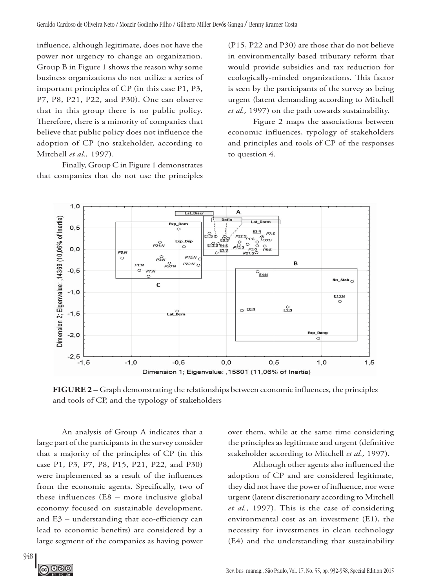influence, although legitimate, does not have the power nor urgency to change an organization. Group B in Figure 1 shows the reason why some business organizations do not utilize a series of important principles of CP (in this case P1, P3, P7, P8, P21, P22, and P30). One can observe that in this group there is no public policy. Therefore, there is a minority of companies that believe that public policy does not influence the adoption of CP (no stakeholder, according to Mitchell *et al.,* 1997).

Finally, Group C in Figure 1 demonstrates that companies that do not use the principles (P15, P22 and P30) are those that do not believe in environmentally based tributary reform that would provide subsidies and tax reduction for ecologically-minded organizations. This factor is seen by the participants of the survey as being urgent (latent demanding according to Mitchell *et al.,* 1997) on the path towards sustainability.

Figure 2 maps the associations between economic influences, typology of stakeholders and principles and tools of CP of the responses to question 4.



**Figure 2 –** Graph demonstrating the relationships between economic influences, the principles and tools of CP, and the typology of stakeholders

An analysis of Group A indicates that a large part of the participants in the survey consider that a majority of the principles of CP (in this case P1, P3, P7, P8, P15, P21, P22, and P30) were implemented as a result of the influences from the economic agents. Specifically, two of these influences (E8 – more inclusive global economy focused on sustainable development, and E3 – understanding that eco-efficiency can lead to economic benefits) are considered by a large segment of the companies as having power

over them, while at the same time considering the principles as legitimate and urgent (definitive stakeholder according to Mitchell *et al.,* 1997).

Although other agents also influenced the adoption of CP and are considered legitimate, they did not have the power of influence, nor were urgent (latent discretionary according to Mitchell *et al.,* 1997). This is the case of considering environmental cost as an investment (E1), the necessity for investments in clean technology (E4) and the understanding that sustainability

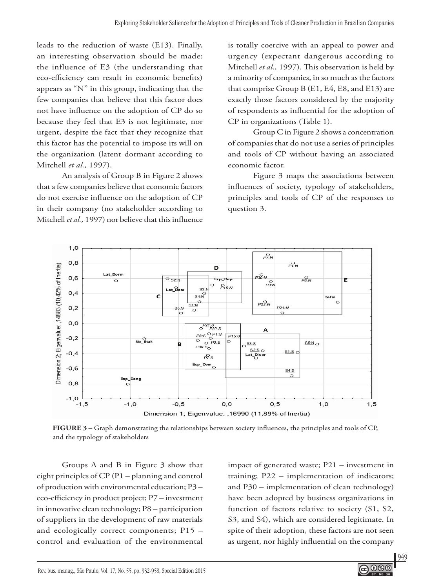leads to the reduction of waste (E13). Finally, an interesting observation should be made: the influence of E3 (the understanding that eco-efficiency can result in economic benefits) appears as "N" in this group, indicating that the few companies that believe that this factor does not have influence on the adoption of CP do so because they feel that E3 is not legitimate, nor urgent, despite the fact that they recognize that this factor has the potential to impose its will on the organization (latent dormant according to Mitchell *et al.,* 1997).

An analysis of Group B in Figure 2 shows that a few companies believe that economic factors do not exercise influence on the adoption of CP in their company (no stakeholder according to Mitchell *et al.,* 1997) nor believe that this influence

is totally coercive with an appeal to power and urgency (expectant dangerous according to Mitchell *et al.,* 1997). This observation is held by a minority of companies, in so much as the factors that comprise Group B (E1, E4, E8, and E13) are exactly those factors considered by the majority of respondents as influential for the adoption of CP in organizations (Table 1).

Group C in Figure 2 shows a concentration of companies that do not use a series of principles and tools of CP without having an associated economic factor.

Figure 3 maps the associations between influences of society, typology of stakeholders, principles and tools of CP of the responses to question 3.



**Figure 3 –** Graph demonstrating the relationships between society influences, the principles and tools of CP, and the typology of stakeholders

Groups A and B in Figure 3 show that eight principles of CP (P1 – planning and control of production with environmental education; P3 – eco-efficiency in product project; P7 – investment in innovative clean technology; P8 – participation of suppliers in the development of raw materials and ecologically correct components; P15 – control and evaluation of the environmental impact of generated waste; P21 – investment in training; P22 – implementation of indicators; and P30 – implementation of clean technology) have been adopted by business organizations in function of factors relative to society (S1, S2, S3, and S4), which are considered legitimate. In spite of their adoption, these factors are not seen as urgent, nor highly influential on the company

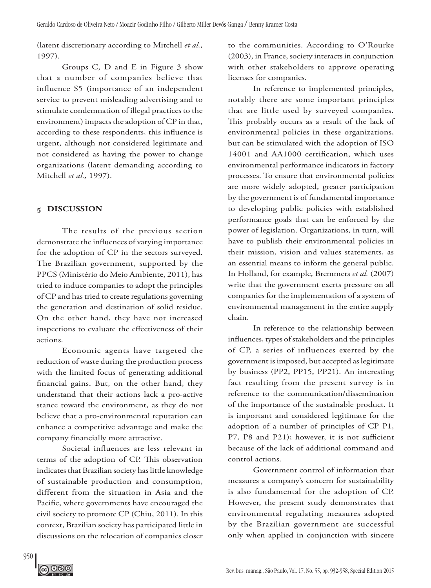(latent discretionary according to Mitchell *et al.,* 1997).

Groups C, D and E in Figure 3 show that a number of companies believe that influence S5 (importance of an independent service to prevent misleading advertising and to stimulate condemnation of illegal practices to the environment) impacts the adoption of CP in that, according to these respondents, this influence is urgent, although not considered legitimate and not considered as having the power to change organizations (latent demanding according to Mitchell *et al.,* 1997).

# **5 Discussion**

The results of the previous section demonstrate the influences of varying importance for the adoption of CP in the sectors surveyed. The Brazilian government, supported by the PPCS (Ministério do Meio Ambiente, 2011), has tried to induce companies to adopt the principles of CP and has tried to create regulations governing the generation and destination of solid residue. On the other hand, they have not increased inspections to evaluate the effectiveness of their actions.

Economic agents have targeted the reduction of waste during the production process with the limited focus of generating additional financial gains. But, on the other hand, they understand that their actions lack a pro-active stance toward the environment, as they do not believe that a pro-environmental reputation can enhance a competitive advantage and make the company financially more attractive.

Societal influences are less relevant in terms of the adoption of CP. This observation indicates that Brazilian society has little knowledge of sustainable production and consumption, different from the situation in Asia and the Pacific, where governments have encouraged the civil society to promote CP (Chiu, 2011). In this context, Brazilian society has participated little in discussions on the relocation of companies closer to the communities. According to O'Rourke (2003), in France, society interacts in conjunction with other stakeholders to approve operating licenses for companies.

In reference to implemented principles, notably there are some important principles that are little used by surveyed companies. This probably occurs as a result of the lack of environmental policies in these organizations, but can be stimulated with the adoption of ISO 14001 and AA1000 certification, which uses environmental performance indicators in factory processes. To ensure that environmental policies are more widely adopted, greater participation by the government is of fundamental importance to developing public policies with established performance goals that can be enforced by the power of legislation. Organizations, in turn, will have to publish their environmental policies in their mission, vision and values statements, as an essential means to inform the general public. In Holland, for example, Bremmers *et al.* (2007) write that the government exerts pressure on all companies for the implementation of a system of environmental management in the entire supply chain.

In reference to the relationship between influences, types of stakeholders and the principles of CP, a series of influences exerted by the government is imposed, but accepted as legitimate by business (PP2, PP15, PP21). An interesting fact resulting from the present survey is in reference to the communication/dissemination of the importance of the sustainable product. It is important and considered legitimate for the adoption of a number of principles of CP P1, P7, P8 and P21); however, it is not sufficient because of the lack of additional command and control actions.

Government control of information that measures a company's concern for sustainability is also fundamental for the adoption of CP. However, the present study demonstrates that environmental regulating measures adopted by the Brazilian government are successful only when applied in conjunction with sincere

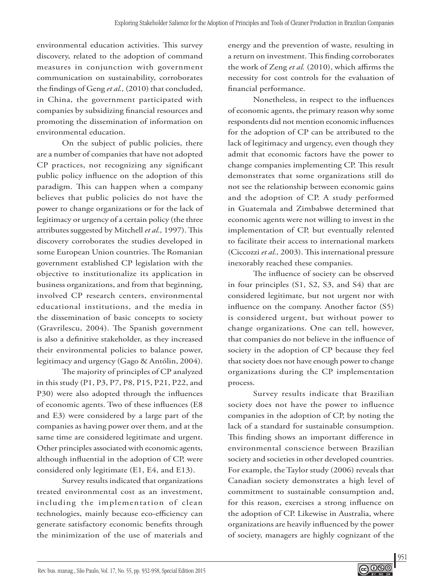environmental education activities. This survey discovery, related to the adoption of command measures in conjunction with government communication on sustainability, corroborates the findings of Geng *et al.,* (2010) that concluded, in China, the government participated with companies by subsidizing financial resources and promoting the dissemination of information on environmental education.

On the subject of public policies, there are a number of companies that have not adopted CP practices, not recognizing any significant public policy influence on the adoption of this paradigm. This can happen when a company believes that public policies do not have the power to change organizations or for the lack of legitimacy or urgency of a certain policy (the three attributes suggested by Mitchell *et al.,* 1997). This discovery corroborates the studies developed in some European Union countries. The Romanian government established CP legislation with the objective to institutionalize its application in business organizations, and from that beginning, involved CP research centers, environmental educational institutions, and the media in the dissemination of basic concepts to society (Gravrilescu, 2004). The Spanish government is also a definitive stakeholder, as they increased their environmental policies to balance power, legitimacy and urgency (Gago & Antólin, 2004).

The majority of principles of CP analyzed in this study (P1, P3, P7, P8, P15, P21, P22, and P30) were also adopted through the influences of economic agents. Two of these influences (E8 and E3) were considered by a large part of the companies as having power over them, and at the same time are considered legitimate and urgent. Other principles associated with economic agents, although influential in the adoption of CP, were considered only legitimate (E1, E4, and E13).

Survey results indicated that organizations treated environmental cost as an investment, including the implementation of clean technologies, mainly because eco-efficiency can generate satisfactory economic benefits through the minimization of the use of materials and

energy and the prevention of waste, resulting in a return on investment. This finding corroborates the work of Zeng *et al.* (2010), which affirms the necessity for cost controls for the evaluation of financial performance.

Nonetheless, in respect to the influences of economic agents, the primary reason why some respondents did not mention economic influences for the adoption of CP can be attributed to the lack of legitimacy and urgency, even though they admit that economic factors have the power to change companies implementing CP. This result demonstrates that some organizations still do not see the relationship between economic gains and the adoption of CP. A study performed in Guatemala and Zimbabwe determined that economic agents were not willing to invest in the implementation of CP, but eventually relented to facilitate their access to international markets (Ciccozzi *et al.,* 2003). This international pressure inexorably reached these companies.

The influence of society can be observed in four principles (S1, S2, S3, and S4) that are considered legitimate, but not urgent nor with influence on the company. Another factor (S5) is considered urgent, but without power to change organizations. One can tell, however, that companies do not believe in the influence of society in the adoption of CP because they feel that society does not have enough power to change organizations during the CP implementation process.

Survey results indicate that Brazilian society does not have the power to influence companies in the adoption of CP, by noting the lack of a standard for sustainable consumption. This finding shows an important difference in environmental conscience between Brazilian society and societies in other developed countries. For example, the Taylor study (2006) reveals that Canadian society demonstrates a high level of commitment to sustainable consumption and, for this reason, exercises a strong influence on the adoption of CP. Likewise in Australia, where organizations are heavily influenced by the power of society, managers are highly cognizant of the

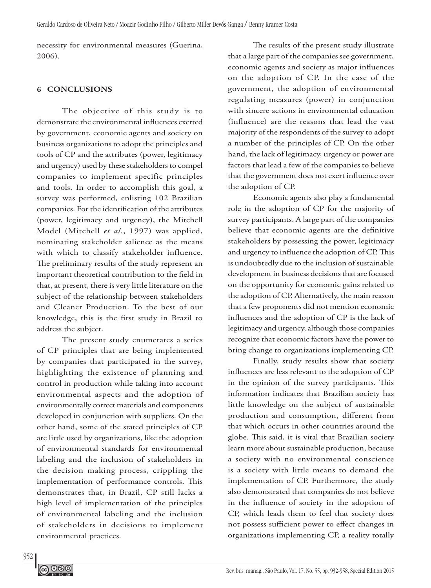necessity for environmental measures (Guerina, 2006).

# **6 Conclusions**

The objective of this study is to demonstrate the environmental influences exerted by government, economic agents and society on business organizations to adopt the principles and tools of CP and the attributes (power, legitimacy and urgency) used by these stakeholders to compel companies to implement specific principles and tools. In order to accomplish this goal, a survey was performed, enlisting 102 Brazilian companies. For the identification of the attributes (power, legitimacy and urgency), the Mitchell Model (Mitchell *et al.*, 1997) was applied, nominating stakeholder salience as the means with which to classify stakeholder influence. The preliminary results of the study represent an important theoretical contribution to the field in that, at present, there is very little literature on the subject of the relationship between stakeholders and Cleaner Production. To the best of our knowledge, this is the first study in Brazil to address the subject.

The present study enumerates a series of CP principles that are being implemented by companies that participated in the survey, highlighting the existence of planning and control in production while taking into account environmental aspects and the adoption of environmentally correct materials and components developed in conjunction with suppliers. On the other hand, some of the stated principles of CP are little used by organizations, like the adoption of environmental standards for environmental labeling and the inclusion of stakeholders in the decision making process, crippling the implementation of performance controls. This demonstrates that, in Brazil, CP still lacks a high level of implementation of the principles of environmental labeling and the inclusion of stakeholders in decisions to implement environmental practices.

The results of the present study illustrate that a large part of the companies see government, economic agents and society as major influences on the adoption of CP. In the case of the government, the adoption of environmental regulating measures (power) in conjunction with sincere actions in environmental education (influence) are the reasons that lead the vast majority of the respondents of the survey to adopt a number of the principles of CP. On the other hand, the lack of legitimacy, urgency or power are factors that lead a few of the companies to believe that the government does not exert influence over the adoption of CP.

Economic agents also play a fundamental role in the adoption of CP for the majority of survey participants. A large part of the companies believe that economic agents are the definitive stakeholders by possessing the power, legitimacy and urgency to influence the adoption of CP. This is undoubtedly due to the inclusion of sustainable development in business decisions that are focused on the opportunity for economic gains related to the adoption of CP. Alternatively, the main reason that a few proponents did not mention economic influences and the adoption of CP is the lack of legitimacy and urgency, although those companies recognize that economic factors have the power to bring change to organizations implementing CP.

Finally, study results show that society influences are less relevant to the adoption of CP in the opinion of the survey participants. This information indicates that Brazilian society has little knowledge on the subject of sustainable production and consumption, different from that which occurs in other countries around the globe. This said, it is vital that Brazilian society learn more about sustainable production, because a society with no environmental conscience is a society with little means to demand the implementation of CP. Furthermore, the study also demonstrated that companies do not believe in the influence of society in the adoption of CP, which leads them to feel that society does not possess sufficient power to effect changes in organizations implementing CP, a reality totally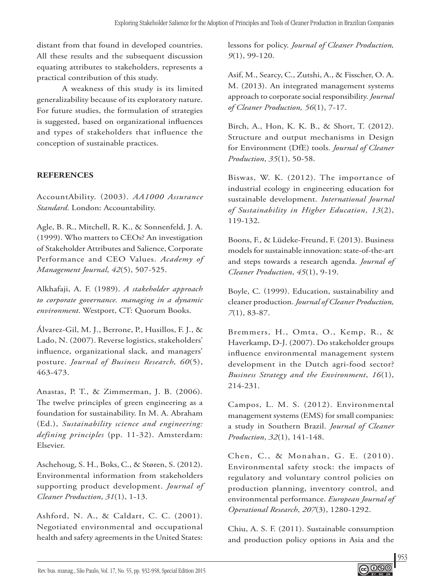distant from that found in developed countries. All these results and the subsequent discussion equating attributes to stakeholders, represents a practical contribution of this study.

A weakness of this study is its limited generalizability because of its exploratory nature. For future studies, the formulation of strategies is suggested, based on organizational influences and types of stakeholders that influence the conception of sustainable practices.

# **References**

AccountAbility. (2003). *AA1000 Assurance Standard*. London: Accountability.

Agle, B. R., Mitchell, R. K., & Sonnenfeld, J. A. (1999). Who matters to CEOs? An investigation of Stakeholder Attributes and Salience, Corporate Performance and CEO Values. *Academy of Management Journal*, *42*(5), 507-525.

Alkhafaji, A. F. (1989). *A stakeholder approach to corporate governance. managing in a dynamic environment*. Westport, CT: Quorum Books.

Álvarez-Gil, M. J., Berrone, P., Husillos, F. J., & Lado, N. (2007). Reverse logistics, stakeholders' influence, organizational slack, and managers' posture. *Journal of Business Research, 60*(5), 463-473.

Anastas, P. T., & Zimmerman, J. B. (2006). The twelve principles of green engineering as a foundation for sustainability. In M. A. Abraham (Ed.), *Sustainability science and engineering: defining principles* (pp. 11-32). Amsterdam: Elsevier.

Aschehoug, S. H., Boks, C., & Støren, S. (2012). Environmental information from stakeholders supporting product development. *Journal of Cleaner Production*, *31*(1), 1-13.

Ashford, N. A., & Caldart, C. C. (2001). Negotiated environmental and occupational health and safety agreements in the United States: lessons for policy. *Journal of Cleaner Production, 9*(1), 99-120.

Asif, M., Searcy, C., Zutshi, A., & Fisscher, O. A. M. (2013). An integrated management systems approach to corporate social responsibility. *Journal of Cleaner Production, 56*(1), 7-17.

Birch, A., Hon, K. K. B., & Short, T. (2012). Structure and output mechanisms in Design for Environment (DfE) tools. *Journal of Cleaner Production*, *35*(1), 50-58.

Biswas, W. K. (2012). The importance of industrial ecology in engineering education for sustainable development. *International Journal of Sustainability in Higher Education*, *13*(2), 119-132.

Boons, F., & Lüdeke-Freund, F. (2013). Business models for sustainable innovation: state-of-the-art and steps towards a research agenda. *Journal of Cleaner Production*, *45*(1), 9-19.

Boyle, C. (1999). Education, sustainability and cleaner production. *Journal of Cleaner Production, 7*(1), 83-87.

Bremmers, H., Omta, O., Kemp, R., & Haverkamp, D-J. (2007). Do stakeholder groups influence environmental management system development in the Dutch agri-food sector? *Business Strategy and the Environment*, *16*(1), 214-231.

Campos, L. M. S. (2012). Environmental management systems (EMS) for small companies: a study in Southern Brazil. *Journal of Cleaner Production*, *32*(1), 141-148.

Chen, C., & Monahan, G. E. (2010). Environmental safety stock: the impacts of regulatory and voluntary control policies on production planning, inventory control, and environmental performance. *European Journal of Operational Research*, *207*(3), 1280-1292.

Chiu, A. S. F. (2011). Sustainable consumption and production policy options in Asia and the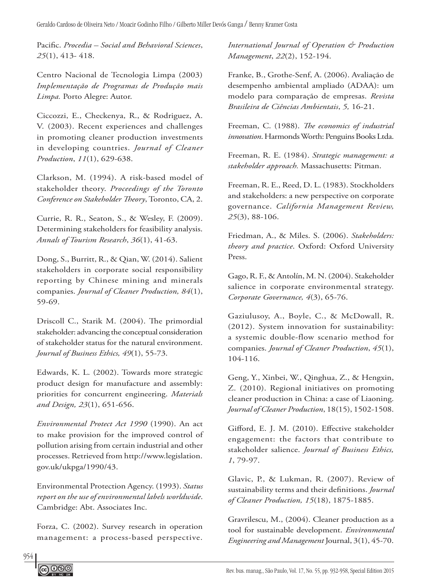Pacific. *Procedia – Social and Behavioral Sciences*, *25*(1), 413- 418.

Centro Nacional de Tecnologia Limpa (2003) *Implementação de Programas de Produção mais Limpa.* Porto Alegre: Autor.

Ciccozzi, E., Checkenya, R., & Rodriguez, A. V. (2003). Recent experiences and challenges in promoting cleaner production investments in developing countries. *Journal of Cleaner Production*, *11*(1), 629-638.

Clarkson, M. (1994). A risk-based model of stakeholder theory. *Proceedings of the Toronto Conference on Stakeholder Theory*, Toronto, CA, 2.

Currie, R. R., Seaton, S., & Wesley, F. (2009). Determining stakeholders for feasibility analysis. *Annals of Tourism Research*, *36*(1), 41-63.

Dong, S., Burritt, R., & Qian, W. (2014). Salient stakeholders in corporate social responsibility reporting by Chinese mining and minerals companies. *Journal of Cleaner Production, 84*(1), 59-69.

Driscoll C., Starik M. (2004). The primordial stakeholder: advancing the conceptual consideration of stakeholder status for the natural environment. *Journal of Business Ethics, 49*(1), 55-73.

Edwards, K. L. (2002). Towards more strategic product design for manufacture and assembly: priorities for concurrent engineering. *Materials and Design, 23*(1), 651-656.

*Environmental Protect Act 1990* (1990). An act to make provision for the improved control of pollution arising from certain industrial and other processes. Retrieved from http://www.legislation. gov.uk/ukpga/1990/43.

Environmental Protection Agency. (1993). *Status report on the use of environmental labels worldwide*. Cambridge: Abt. Associates Inc.

Forza, C. (2002). Survey research in operation management: a process-based perspective.

*International Journal of Operation & Production Management*, *22*(2), 152-194.

Franke, B., Grothe-Senf, A. (2006). Avaliação de desempenho ambiental ampliado (ADAA): um modelo para comparação de empresas. *Revista Brasileira de Ciências Ambientais*, *5,* 16-21.

Freeman, C. (1988). *The economics of industrial innovation*. Harmonds Worth: Penguins Books Ltda.

Freeman, R. E. (1984). *Strategic management: a stakeholder approach.* Massachusetts: Pitman.

Freeman, R. E., Reed, D. L. (1983). Stockholders and stakeholders: a new perspective on corporate governance. *California Management Review, 25*(3), 88-106.

Friedman, A., & Miles. S. (2006). *Stakeholders: theory and practice*. Oxford: Oxford University Press.

Gago, R. F., & Antolín, M. N. (2004). Stakeholder salience in corporate environmental strategy. *Corporate Governance, 4*(3), 65-76.

Gaziulusoy, A., Boyle, C., & McDowall, R. (2012). System innovation for sustainability: a systemic double-flow scenario method for companies. *Journal of Cleaner Production*, *45*(1), 104-116.

Geng, Y., Xinbei, W., Qinghua, Z., & Hengxin, Z. (2010). Regional initiatives on promoting cleaner production in China: a case of Liaoning. *Journal of Cleaner Production*, 18(15), 1502-1508.

Gifford, E. J. M. (2010). Effective stakeholder engagement: the factors that contribute to stakeholder salience. *Journal of Business Ethics, 1*, 79-97.

Glavic, P., & Lukman, R. (2007). Review of sustainability terms and their definitions. *Journal of Cleaner Production, 15*(18), 1875-1885.

Gravrilescu, M., (2004). Cleaner production as a tool for sustainable development. *Environmental Engineering and Management* Journal, 3(1), 45-70.

954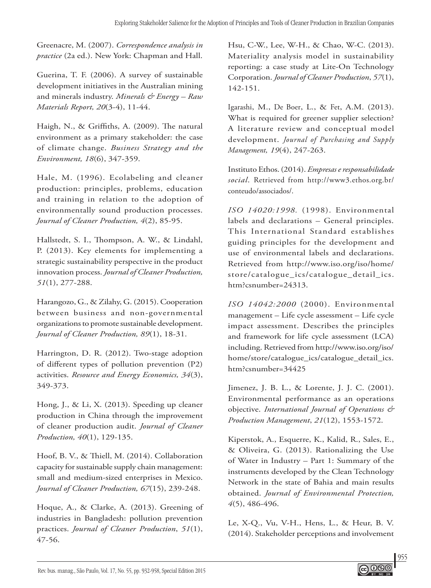Greenacre, M. (2007). *Correspondence analysis in practice* (2a ed.). New York: Chapman and Hall.

Guerina, T. F. (2006). A survey of sustainable development initiatives in the Australian mining and minerals industry. *Minerals & Energy – Raw Materials Report, 20*(3-4), 11-44.

Haigh, N., & Griffiths, A. (2009). The natural environment as a primary stakeholder: the case of climate change. *Business Strategy and the Environment, 18*(6), 347-359.

Hale, M. (1996). Ecolabeling and cleaner production: principles, problems, education and training in relation to the adoption of environmentally sound production processes. *Journal of Cleaner Production, 4*(2), 85-95.

Hallstedt, S. I., Thompson, A. W., & Lindahl, P. (2013). Key elements for implementing a strategic sustainability perspective in the product innovation process. *Journal of Cleaner Production, 51*(1), 277-288.

Harangozo, G., & Zilahy, G. (2015). Cooperation between business and non-governmental organizations to promote sustainable development. *Journal of Cleaner Production, 89*(1), 18-31.

Harrington, D. R. (2012). Two-stage adoption of different types of pollution prevention (P2) activities. *Resource and Energy Economics, 34*(3), 349-373.

Hong, J., & Li, X. (2013). Speeding up cleaner production in China through the improvement of cleaner production audit. *Journal of Cleaner Production, 40*(1), 129-135.

Hoof, B. V., & Thiell, M. (2014). Collaboration capacity for sustainable supply chain management: small and medium-sized enterprises in Mexico. *Journal of Cleaner Production, 67*(15), 239-248.

Hoque, A., & Clarke, A. (2013). Greening of industries in Bangladesh: pollution prevention practices. *Journal of Cleaner Production*, *51*(1), 47-56.

Hsu, C-W., Lee, W-H., & Chao, W-C. (2013). Materiality analysis model in sustainability reporting: a case study at Lite-On Technology Corporation. *Journal of Cleaner Production*, *57*(1), 142-151.

Igarashi, M., De Boer, L., & Fet, A.M. (2013). What is required for greener supplier selection? A literature review and conceptual model development. *Journal of Purchasing and Supply Management, 19*(4), 247-263.

Instituto Ethos. (2014). *Empresas e responsabilidade social*. Retrieved from http://www3.ethos.org.br/ conteudo/associados/.

*ISO 14020:1998.* (1998). Environmental labels and declarations – General principles. This International Standard establishes guiding principles for the development and use of environmental labels and declarations. Retrieved from http://www.iso.org/iso/home/ store/catalogue\_ics/catalogue\_detail\_ics. htm?csnumber=24313.

*ISO 14042:2000* (2000). Environmental management – Life cycle assessment – Life cycle impact assessment. Describes the principles and framework for life cycle assessment (LCA) including. Retrieved from http://www.iso.org/iso/ home/store/catalogue\_ics/catalogue\_detail\_ics. htm?csnumber=34425

Jimenez, J. B. L., & Lorente, J. J. C. (2001). Environmental performance as an operations objective. *International Journal of Operations & Production Management*, *21*(12), 1553-1572.

Kiperstok, A., Esquerre, K., Kalid, R., Sales, E., & Oliveira, G. (2013). Rationalizing the Use of Water in Industry – Part 1: Summary of the instruments developed by the Clean Technology Network in the state of Bahia and main results obtained. *Journal of Environmental Protection, 4*(5), 486-496.

Le, X-Q., Vu, V-H., Hens, L., & Heur, B. V. (2014). Stakeholder perceptions and involvement

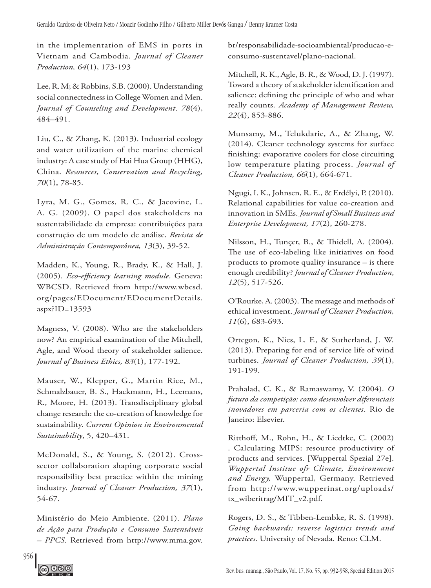in the implementation of EMS in ports in Vietnam and Cambodia. *Journal of Cleaner Production, 64*(1), 173-193

Lee, R. M; & Robbins, S.B. (2000). Understanding social connectedness in College Women and Men. *Journal of Counseling and Development*. *78*(4), 484–491.

Liu, C., & Zhang, K. (2013). Industrial ecology and water utilization of the marine chemical industry: A case study of Hai Hua Group (HHG), China. *Resources, Conservation and Recycling, 70*(1), 78-85.

Lyra, M. G., Gomes, R. C., & Jacovine, L. A. G. (2009). O papel dos stakeholders na sustentabilidade da empresa: contribuições para construção de um modelo de análise. *Revista de Administração Contemporânea, 13*(3), 39-52.

Madden, K., Young, R., Brady, K., & Hall, J. (2005). *Eco-efficiency learning module*. Geneva: WBCSD. Retrieved from http://www.wbcsd. org/pages/EDocument/EDocumentDetails. aspx?ID=13593

Magness, V. (2008). Who are the stakeholders now? An empirical examination of the Mitchell, Agle, and Wood theory of stakeholder salience. *Journal of Business Ethics, 83*(1), 177-192.

Mauser, W., Klepper, G., Martin Rice, M., Schmalzbauer, B. S., Hackmann, H., Leemans, R., Moore, H. (2013). Transdisciplinary global change research: the co-creation of knowledge for sustainability. *Current Opinion in Environmental Sustainability*, 5, 420–431.

McDonald, S., & Young, S. (2012). Crosssector collaboration shaping corporate social responsibility best practice within the mining industry. *Journal of Cleaner Production, 37*(1), 54-67.

Ministério do Meio Ambiente. (2011). *Plano de Ação para Produção e Consumo Sustentáveis – PPCS*. Retrieved from http://www.mma.gov.

br/responsabilidade-socioambiental/producao-econsumo-sustentavel/plano-nacional.

Mitchell, R. K., Agle, B. R., & Wood, D. J. (1997). Toward a theory of stakeholder identification and salience: defining the principle of who and what really counts. *Academy of Management Review, 22*(4), 853-886.

Munsamy, M., Telukdarie, A., & Zhang, W. (2014). Cleaner technology systems for surface finishing: evaporative coolers for close circuiting low temperature plating process. *Journal of Cleaner Production, 66*(1), 664-671.

Ngugi, I. K., Johnsen, R. E., & Erdélyi, P. (2010). Relational capabilities for value co-creation and innovation in SMEs. *Journal of Small Business and Enterprise Development, 17*(2), 260-278.

Nilsson, H., Tunçer, B., & Thidell, A. (2004). The use of eco-labeling like initiatives on food products to promote quality insurance – is there enough credibility? *Journal of Cleaner Production*, *12*(5), 517-526.

O'Rourke, A. (2003). The message and methods of ethical investment. *Journal of Cleaner Production, 11*(6), 683-693.

Ortegon, K., Nies, L. F., & Sutherland, J. W. (2013). Preparing for end of service life of wind turbines. *Journal of Cleaner Production, 39*(1), 191-199.

Prahalad, C. K., & Ramaswamy, V. (2004). *O futuro da competição: como desenvolver diferenciais inovadores em parceria com os clientes*. Rio de Janeiro: Elsevier.

Ritthoff, M., Rohn, H., & Liedtke, C. (2002) . Calculating MIPS: resource productivity of products and services. [Wuppertal Spezial 27e]. *Wuppertal Institue ofr Climate, Environment and Energy,* Wuppertal, Germany. Retrieved from http://www.wupperinst.org/uploads/ tx\_wiberitrag/MIT\_v2.pdf.

Rogers, D. S., & Tibben-Lembke, R. S. (1998). *Going backwards: reverse logistics trends and practices*. University of Nevada. Reno: CLM.

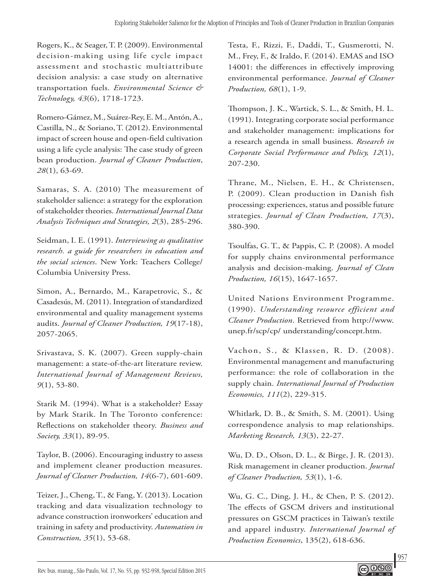Rogers, K., & Seager, T. P. (2009). Environmental decision-making using life cycle impact assessment and stochastic multiattribute decision analysis: a case study on alternative transportation fuels. *Environmental Science & Technology, 43*(6), 1718-1723.

Romero-Gámez, M., Suárez-Rey, E. M., Antón, A., Castilla, N., & Soriano, T. (2012). Environmental impact of screen house and open-field cultivation using a life cycle analysis: The case study of green bean production. *Journal of Cleaner Production*, *28*(1), 63-69.

Samaras, S. A. (2010) The measurement of stakeholder salience: a strategy for the exploration of stakeholder theories. *International Journal Data Analysis Techniques and Strategies, 2*(3), 285-296.

Seidman, I. E. (1991). *Interviewing as qualitative research. a guide for researchers in education and the social sciences*. New York: Teachers College/ Columbia University Press.

Simon, A., Bernardo, M., Karapetrovic, S., & Casadesús, M. (2011). Integration of standardized environmental and quality management systems audits. *Journal of Cleaner Production, 19*(17-18), 2057-2065.

Srivastava, S. K. (2007). Green supply-chain management: a state-of-the-art literature review. *International Journal of Management Reviews, 9*(1), 53-80.

Starik M. (1994). What is a stakeholder? Essay by Mark Starik. In The Toronto conference: Reflections on stakeholder theory. *Business and Society, 33*(1), 89-95.

Taylor, B. (2006). Encouraging industry to assess and implement cleaner production measures. *Journal of Cleaner Production, 14*(6-7), 601-609.

Teizer, J., Cheng, T., & Fang, Y. (2013). Location tracking and data visualization technology to advance construction ironworkers' education and training in safety and productivity. *Automation in Construction, 35*(1), 53-68.

Testa, F., Rizzi, F., Daddi, T., Gusmerotti, N. M., Frey, F., & Iraldo, F. (2014). EMAS and ISO 14001: the differences in effectively improving environmental performance. *Journal of Cleaner Production, 68*(1), 1-9.

Thompson, J. K., Wartick, S. L., & Smith, H. L. (1991). Integrating corporate social performance and stakeholder management: implications for a research agenda in small business. *Research in Corporate Social Performance and Policy, 12*(1), 207-230.

Thrane, M., Nielsen, E. H., & Christensen, P. (2009). Clean production in Danish fish processing: experiences, status and possible future strategies. *Journal of Clean Production, 17*(3), 380-390.

Tsoulfas, G. T., & Pappis, C. P. (2008). A model for supply chains environmental performance analysis and decision-making. *Journal of Clean Production, 16*(15), 1647-1657.

United Nations Environment Programme. (1990). *Understanding resource efficient and Cleaner Production*. Retrieved from http://www. unep.fr/scp/cp/ understanding/concept.htm.

Vachon, S., & Klassen, R. D. (2008). Environmental management and manufacturing performance: the role of collaboration in the supply chain. *International Journal of Production Economics, 111*(2), 229-315.

Whitlark, D. B., & Smith, S. M. (2001). Using correspondence analysis to map relationships. *Marketing Research, 13*(3), 22-27.

Wu, D. D., Olson, D. L., & Birge, J. R. (2013). Risk management in cleaner production. *Journal of Cleaner Production, 53*(1), 1-6.

Wu, G. C., Ding, J. H., & Chen, P. S. (2012). The effects of GSCM drivers and institutional pressures on GSCM practices in Taiwan's textile and apparel industry. *International Journal of Production Economics*, 135(2), 618-636.